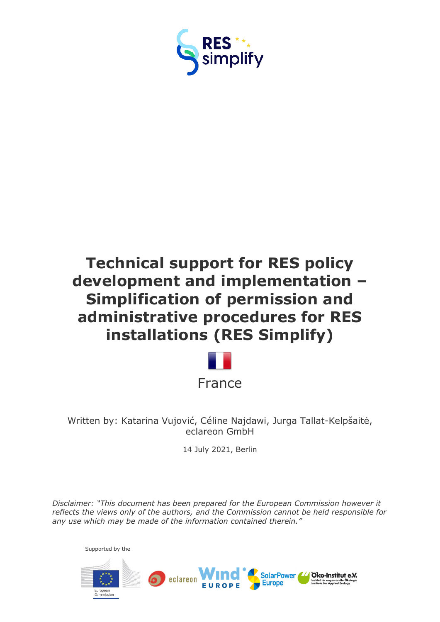



Written by: Katarina Vujović, Céline Najdawi, Jurga Tallat-Kelpšaitė, eclareon GmbH

14 July 2021, Berlin

*Disclaimer: "This document has been prepared for the European Commission however it reflects the views only of the authors, and the Commission cannot be held responsible for any use which may be made of the information contained therein."*

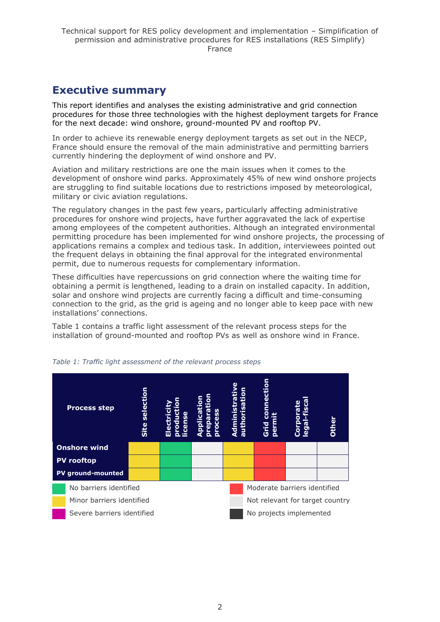# <span id="page-1-0"></span>**Executive summary**

This report identifies and analyses the existing administrative and grid connection procedures for those three technologies with the highest deployment targets for France for the next decade: wind onshore, ground-mounted PV and rooftop PV.

In order to achieve its renewable energy deployment targets as set out in the NECP, France should ensure the removal of the main administrative and permitting barriers currently hindering the deployment of wind onshore and PV.

Aviation and military restrictions are one the main issues when it comes to the development of onshore wind parks. Approximately 45% of new wind onshore projects are struggling to find suitable locations due to restrictions imposed by meteorological, military or civic aviation regulations.

The regulatory changes in the past few years, particularly affecting administrative procedures for onshore wind projects, have further aggravated the lack of expertise among employees of the competent authorities. Although an integrated environmental permitting procedure has been implemented for wind onshore projects, the processing of applications remains a complex and tedious task. In addition, interviewees pointed out the frequent delays in obtaining the final approval for the integrated environmental permit, due to numerous requests for complementary information.

These difficulties have repercussions on grid connection where the waiting time for obtaining a permit is lengthened, leading to a drain on installed capacity. In addition, solar and onshore wind projects are currently facing a difficult and time-consuming connection to the grid, as the grid is ageing and no longer able to keep pace with new installations' connections.

Table 1 contains a traffic light assessment of the relevant process steps for the installation of ground-mounted and rooftop PVs as well as onshore wind in France.



*Table 1: Traffic light assessment of the relevant process steps*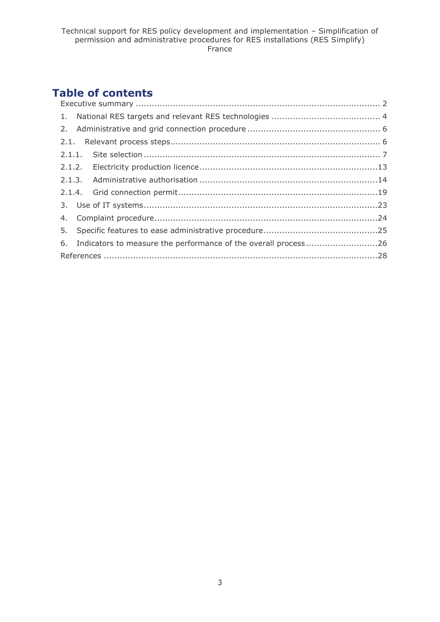# **Table of contents**

| 6. Indicators to measure the performance of the overall process26 |  |
|-------------------------------------------------------------------|--|
|                                                                   |  |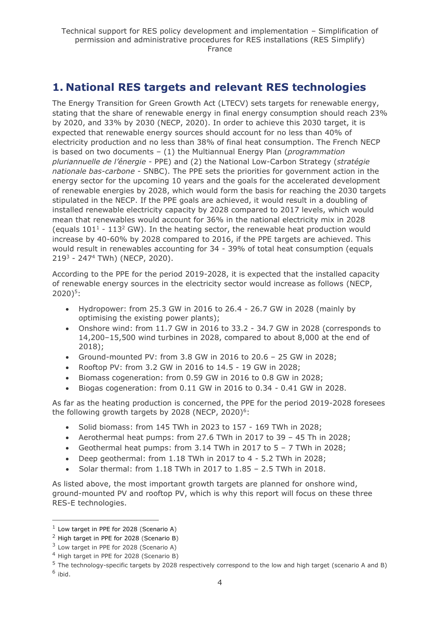# <span id="page-3-0"></span>**1. National RES targets and relevant RES technologies**

The Energy Transition for Green Growth Act (LTECV) sets targets for renewable energy, stating that the share of renewable energy in final energy consumption should reach 23% by 2020, and 33% by 2030 (NECP, 2020). In order to achieve this 2030 target, it is expected that renewable energy sources should account for no less than 40% of electricity production and no less than 38% of final heat consumption. The French NECP is based on two documents – (1) the Multiannual Energy Plan (*programmation pluriannuelle de l'énergie -* PPE) and (2) the National Low-Carbon Strategy (*stratégie nationale bas-carbone -* SNBC). The PPE sets the priorities for government action in the energy sector for the upcoming 10 years and the goals for the accelerated development of renewable energies by 2028, which would form the basis for reaching the 2030 targets stipulated in the NECP. If the PPE goals are achieved, it would result in a doubling of installed renewable electricity capacity by 2028 compared to 2017 levels, which would mean that renewables would account for 36% in the national electricity mix in 2028 (equals  $101<sup>1</sup>$  -  $113<sup>2</sup>$  GW). In the heating sector, the renewable heat production would increase by 40-60% by 2028 compared to 2016, if the PPE targets are achieved. This would result in renewables accounting for 34 - 39% of total heat consumption (equals 219<sup>3</sup> - 247<sup>4</sup> TWh) (NECP, 2020).

According to the PPE for the period 2019-2028, it is expected that the installed capacity of renewable energy sources in the electricity sector would increase as follows (NECP, 2020) 5 :

- Hydropower: from 25.3 GW in 2016 to 26.4 26.7 GW in 2028 (mainly by optimising the existing power plants);
- Onshore wind: from 11.7 GW in 2016 to 33.2 34.7 GW in 2028 (corresponds to 14,200–15,500 wind turbines in 2028, compared to about 8,000 at the end of 2018);
- Ground-mounted PV: from 3.8 GW in 2016 to 20.6 25 GW in 2028;
- Rooftop PV: from 3.2 GW in 2016 to 14.5 19 GW in 2028;
- Biomass cogeneration: from 0.59 GW in 2016 to 0.8 GW in 2028;
- Biogas cogeneration: from 0.11 GW in 2016 to 0.34 0.41 GW in 2028.

As far as the heating production is concerned, the PPE for the period 2019-2028 foresees the following growth targets by 2028 (NECP, 2020) $6$ :

- Solid biomass: from 145 TWh in 2023 to 157 169 TWh in 2028;
- Aerothermal heat pumps: from 27.6 TWh in 2017 to 39 45 Th in 2028;
- Geothermal heat pumps: from 3.14 TWh in 2017 to 5 7 TWh in 2028;
- Deep geothermal: from 1.18 TWh in 2017 to 4 5.2 TWh in 2028;
- Solar thermal: from 1.18 TWh in 2017 to 1.85 2.5 TWh in 2018.

As listed above, the most important growth targets are planned for onshore wind, ground-mounted PV and rooftop PV, which is why this report will focus on these three RES-E technologies.

 $<sup>1</sup>$  Low target in PPE for 2028 (Scenario A)</sup>

<sup>&</sup>lt;sup>2</sup> High target in PPE for 2028 (Scenario B)

 $3$  Low target in PPE for 2028 (Scenario A)

<sup>4</sup> High target in PPE for 2028 (Scenario B)

<sup>5</sup> The technology-specific targets by 2028 respectively correspond to the low and high target (scenario A and B)

<sup>&</sup>lt;sup>6</sup> ibid.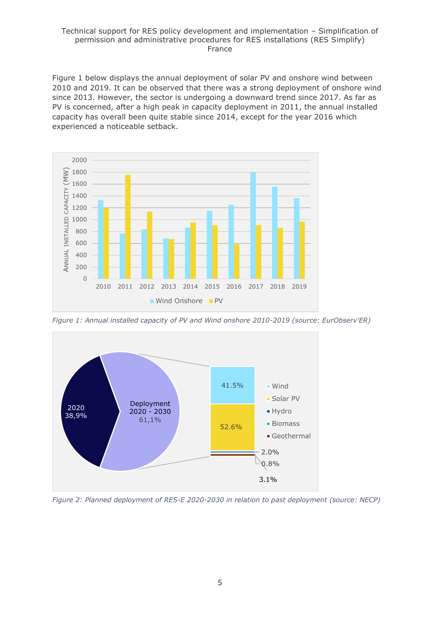Figure 1 below displays the annual deployment of solar PV and onshore wind between 2010 and 2019. It can be observed that there was a strong deployment of onshore wind since 2013. However, the sector is undergoing a downward trend since 2017. As far as PV is concerned, after a high peak in capacity deployment in 2011, the annual installed capacity has overall been quite stable since 2014, except for the year 2016 which experienced a noticeable setback.



*Figure 1: Annual installed capacity of PV and Wind onshore 2010-2019 (source: EurObserv'ER)*



*Figure 2: Planned deployment of RES-E 2020-2030 in relation to past deployment (source: NECP)*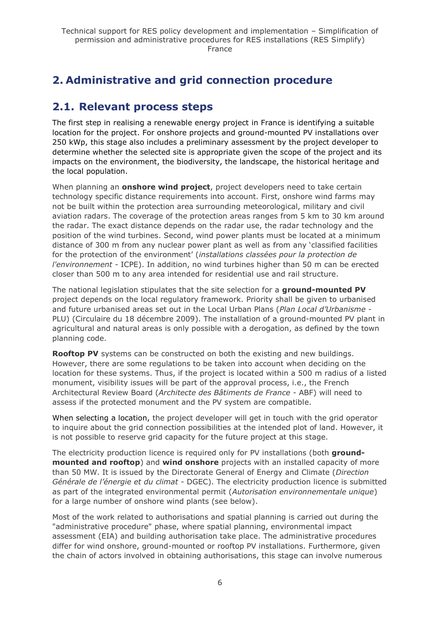# <span id="page-5-0"></span>**2. Administrative and grid connection procedure**

# <span id="page-5-1"></span>**2.1. Relevant process steps**

The first step in realising a renewable energy project in France is identifying a suitable location for the project. For onshore projects and ground-mounted PV installations over 250 kWp, this stage also includes a preliminary assessment by the project developer to determine whether the selected site is appropriate given the scope of the project and its impacts on the environment, the biodiversity, the landscape, the historical heritage and the local population.

When planning an **onshore wind project**, project developers need to take certain technology specific distance requirements into account. First, onshore wind farms may not be built within the protection area surrounding meteorological, military and civil aviation radars. The coverage of the protection areas ranges from 5 km to 30 km around the radar. The exact distance depends on the radar use, the radar technology and the position of the wind turbines. Second, wind power plants must be located at a minimum distance of 300 m from any nuclear power plant as well as from any 'classified facilities for the protection of the environment' (*installations classées pour la protection de l'environnement -* ICPE). In addition, no wind turbines higher than 50 m can be erected closer than 500 m to any area intended for residential use and rail structure.

The national legislation stipulates that the site selection for a **ground-mounted PV** project depends on the local regulatory framework. Priority shall be given to urbanised and future urbanised areas set out in the Local Urban Plans (*Plan Local d'Urbanisme* - PLU) (Circulaire du 18 décembre 2009). The installation of a ground-mounted PV plant in agricultural and natural areas is only possible with a derogation, as defined by the town planning code.

**Rooftop PV** systems can be constructed on both the existing and new buildings. However, there are some regulations to be taken into account when deciding on the location for these systems. Thus, if the project is located within a 500 m radius of a listed monument, visibility issues will be part of the approval process, i.e., the French Architectural Review Board (*Architecte des Bâtiments de France* - ABF) will need to assess if the protected monument and the PV system are compatible.

When selecting a location, the project developer will get in touch with the grid operator to inquire about the grid connection possibilities at the intended plot of land. However, it is not possible to reserve grid capacity for the future project at this stage.

The electricity production licence is required only for PV installations (both **groundmounted and rooftop**) and **wind onshore** projects with an installed capacity of more than 50 MW. It is issued by the Directorate General of Energy and Climate (*Direction Générale de l'énergie et du climat* - DGEC). The electricity production licence is submitted as part of the integrated environmental permit (*Autorisation environnementale unique*) for a large number of onshore wind plants (see below).

Most of the work related to authorisations and spatial planning is carried out during the "administrative procedure" phase, where spatial planning, environmental impact assessment (EIA) and building authorisation take place. The administrative procedures differ for wind onshore, ground-mounted or rooftop PV installations. Furthermore, given the chain of actors involved in obtaining authorisations, this stage can involve numerous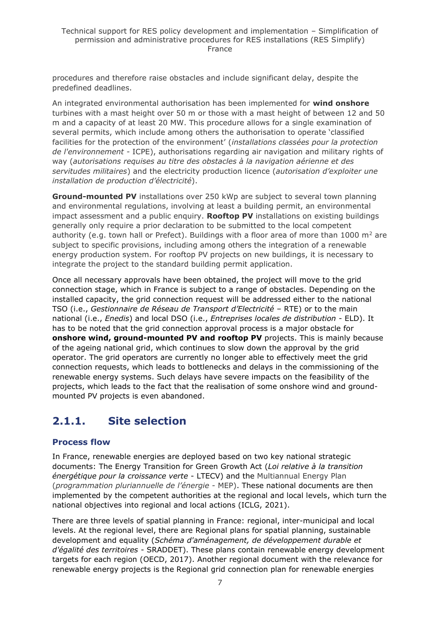procedures and therefore raise obstacles and include significant delay, despite the predefined deadlines.

An integrated environmental authorisation has been implemented for **wind onshore** turbines with a mast height over 50 m or those with a mast height of between 12 and 50 m and a capacity of at least 20 MW. This procedure allows for a single examination of several permits, which include among others the authorisation to operate 'classified facilities for the protection of the environment' (*installations classées pour la protection de l'environnement -* ICPE), authorisations regarding air navigation and military rights of way (*autorisations requises au titre des obstacles à la navigation aérienne et des servitudes militaires*) and the electricity production licence (*autorisation d'exploiter une installation de production d'électricité*).

**Ground-mounted PV** installations over 250 kWp are subject to several town planning and environmental regulations, involving at least a building permit, an environmental impact assessment and a public enquiry. **Rooftop PV** installations on existing buildings generally only require a prior declaration to be submitted to the local competent authority (e.g. town hall or Prefect). Buildings with a floor area of more than 1000  $m^2$  are subject to specific provisions, including among others the integration of a renewable energy production system. For rooftop PV projects on new buildings, it is necessary to integrate the project to the standard building permit application.

Once all necessary approvals have been obtained, the project will move to the grid connection stage, which in France is subject to a range of obstacles. Depending on the installed capacity, the grid connection request will be addressed either to the national TSO (i.e., *Gestionnaire de Réseau de Transport d'Electricité* – RTE) or to the main national (i.e., *Enedis*) and local DSO (i.e., *Entreprises locales de distribution* - ELD). It has to be noted that the grid connection approval process is a major obstacle for **onshore wind, ground-mounted PV and rooftop PV** projects. This is mainly because of the ageing national grid, which continues to slow down the approval by the grid operator. The grid operators are currently no longer able to effectively meet the grid connection requests, which leads to bottlenecks and delays in the commissioning of the renewable energy systems. Such delays have severe impacts on the feasibility of the projects, which leads to the fact that the realisation of some onshore wind and groundmounted PV projects is even abandoned.

# <span id="page-6-0"></span>**2.1.1. Site selection**

### **Process flow**

In France, renewable energies are deployed based on two key national strategic documents: The Energy Transition for Green Growth Act (*Loi relative à la transition énergétique pour la croissance verte* - LTECV) and the Multiannual Energy Plan (*programmation pluriannuelle de l'énergie -* MEP). These national documents are then implemented by the competent authorities at the regional and local levels, which turn the national objectives into regional and local actions (ICLG, 2021).

There are three levels of spatial planning in France: regional, inter-municipal and local levels. At the regional level, there are Regional plans for spatial planning, sustainable development and equality (*Schéma d'aménagement, de développement durable et d'égalité des territoires* - SRADDET). These plans contain renewable energy development targets for each region (OECD, 2017). Another regional document with the relevance for renewable energy projects is the Regional grid connection plan for renewable energies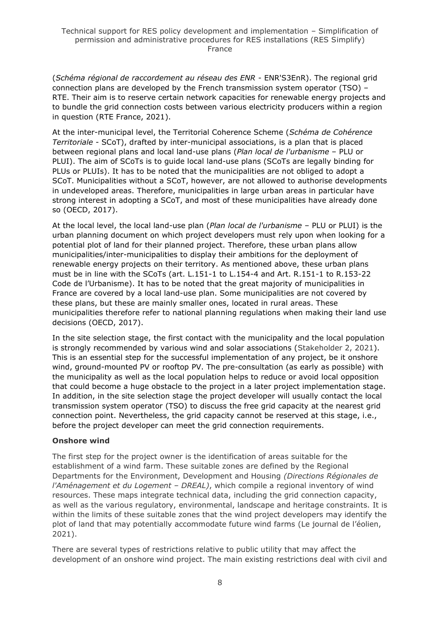(*Schéma régional de raccordement au réseau des ENR* - ENR'S3EnR). The regional grid connection plans are developed by the French transmission system operator (TSO) – RTE. Their aim is to reserve certain network capacities for renewable energy projects and to bundle the grid connection costs between various electricity producers within a region in question (RTE France, 2021).

At the inter-municipal level, the Territorial Coherence Scheme (*Schéma de Cohérence Territoriale* - SCoT), drafted by inter-municipal associations, is a plan that is placed between regional plans and local land-use plans (*Plan local de l'urbanisme* – PLU or PLUI). The aim of SCoTs is to guide local land-use plans (SCoTs are legally binding for PLUs or PLUIs). It has to be noted that the municipalities are not obliged to adopt a SCoT. Municipalities without a SCoT, however, are not allowed to authorise developments in undeveloped areas. Therefore, municipalities in large urban areas in particular have strong interest in adopting a SCoT, and most of these municipalities have already done so (OECD, 2017).

At the local level, the local land-use plan (*Plan local de l'urbanisme* – PLU or PLUI) is the urban planning document on which project developers must rely upon when looking for a potential plot of land for their planned project. Therefore, these urban plans allow municipalities/inter-municipalities to display their ambitions for the deployment of renewable energy projects on their territory. As mentioned above, these urban plans must be in line with the SCoTs (art. L.151-1 to L.154-4 and Art. R.151-1 to R.153-22 Code de l'Urbanisme). It has to be noted that the great majority of municipalities in France are covered by a local land-use plan. Some municipalities are not covered by these plans, but these are mainly smaller ones, located in rural areas. These municipalities therefore refer to national planning regulations when making their land use decisions (OECD, 2017).

In the site selection stage, the first contact with the municipality and the local population is strongly recommended by various wind and solar associations (Stakeholder 2, 2021). This is an essential step for the successful implementation of any project, be it onshore wind, ground-mounted PV or rooftop PV. The pre-consultation (as early as possible) with the municipality as well as the local population helps to reduce or avoid local opposition that could become a huge obstacle to the project in a later project implementation stage. In addition, in the site selection stage the project developer will usually contact the local transmission system operator (TSO) to discuss the free grid capacity at the nearest grid connection point. Nevertheless, the grid capacity cannot be reserved at this stage, i.e., before the project developer can meet the grid connection requirements.

#### **Onshore wind**

The first step for the project owner is the identification of areas suitable for the establishment of a wind farm. These suitable zones are defined by the Regional Departments for the Environment, Development and Housing *(Directions Régionales de l'Aménagement et du Logement - DREAL)*, which compile a regional inventory of wind resources. These maps integrate technical data, including the grid connection capacity, as well as the various regulatory, environmental, landscape and heritage constraints. It is within the limits of these suitable zones that the wind project developers may identify the plot of land that may potentially accommodate future wind farms (Le journal de l'éolien, 2021).

There are several types of restrictions relative to public utility that may affect the development of an onshore wind project. The main existing restrictions deal with civil and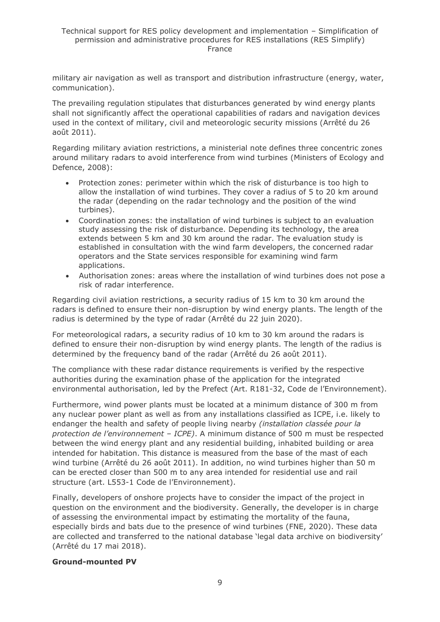military air navigation as well as transport and distribution infrastructure (energy, water, communication).

The prevailing regulation stipulates that disturbances generated by wind energy plants shall not significantly affect the operational capabilities of radars and navigation devices used in the context of military, civil and meteorologic security missions (Arrêté du 26 août 2011).

Regarding military aviation restrictions, a ministerial note defines three concentric zones around military radars to avoid interference from wind turbines (Ministers of Ecology and Defence, 2008):

- Protection zones: perimeter within which the risk of disturbance is too high to allow the installation of wind turbines. They cover a radius of 5 to 20 km around the radar (depending on the radar technology and the position of the wind turbines).
- Coordination zones: the installation of wind turbines is subject to an evaluation study assessing the risk of disturbance. Depending its technology, the area extends between 5 km and 30 km around the radar. The evaluation study is established in consultation with the wind farm developers, the concerned radar operators and the State services responsible for examining wind farm applications.
- Authorisation zones: areas where the installation of wind turbines does not pose a risk of radar interference.

Regarding civil aviation restrictions, a security radius of 15 km to 30 km around the radars is defined to ensure their non-disruption by wind energy plants. The length of the radius is determined by the type of radar (Arrêté du 22 juin 2020).

For meteorological radars, a security radius of 10 km to 30 km around the radars is defined to ensure their non-disruption by wind energy plants. The length of the radius is determined by the frequency band of the radar (Arrêté du 26 août 2011).

The compliance with these radar distance requirements is verified by the respective authorities during the examination phase of the application for the integrated environmental authorisation, led by the Prefect (Art. R181-32, Code de l'Environnement).

Furthermore, wind power plants must be located at a minimum distance of 300 m from any nuclear power plant as well as from any installations classified as ICPE, i.e. likely to endanger the health and safety of people living nearby *(installation classée pour la protection de l'environnement – ICPE)*. A minimum distance of 500 m must be respected between the wind energy plant and any residential building, inhabited building or area intended for habitation. This distance is measured from the base of the mast of each wind turbine (Arrêté du 26 août 2011). In addition, no wind turbines higher than 50 m can be erected closer than 500 m to any area intended for residential use and rail structure (art. L553-1 Code de l'Environnement).

Finally, developers of onshore projects have to consider the impact of the project in question on the environment and the biodiversity. Generally, the developer is in charge of assessing the environmental impact by estimating the mortality of the fauna, especially birds and bats due to the presence of wind turbines (FNE, 2020). These data are collected and transferred to the national database 'legal data archive on biodiversity' (Arrêté du 17 mai 2018).

#### **Ground-mounted PV**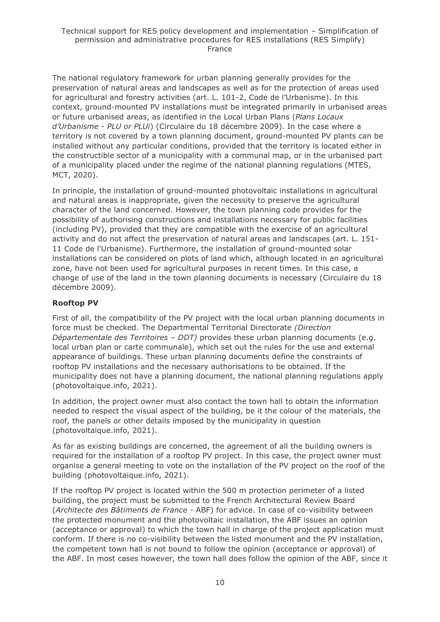The national regulatory framework for urban planning generally provides for the preservation of natural areas and landscapes as well as for the protection of areas used for agricultural and forestry activities (art. L. 101-2, Code de l'Urbanisme). In this context, ground-mounted PV installations must be integrated primarily in urbanised areas or future urbanised areas, as identified in the Local Urban Plans (*Plans Locaux d'Urbanisme* - *PLU or PLUi*) (Circulaire du 18 décembre 2009). In the case where a territory is not covered by a town planning document, ground-mounted PV plants can be installed without any particular conditions, provided that the territory is located either in the constructible sector of a municipality with a communal map, or in the urbanised part of a municipality placed under the regime of the national planning regulations (MTES, MCT, 2020).

In principle, the installation of ground-mounted photovoltaic installations in agricultural and natural areas is inappropriate, given the necessity to preserve the agricultural character of the land concerned. However, the town planning code provides for the possibility of authorising constructions and installations necessary for public facilities (including PV), provided that they are compatible with the exercise of an agricultural activity and do not affect the preservation of natural areas and landscapes (art. L. 151- 11 Code de l'Urbanisme). Furthermore, the installation of ground-mounted solar installations can be considered on plots of land which, although located in an agricultural zone, have not been used for agricultural purposes in recent times. In this case, a change of use of the land in the town planning documents is necessary (Circulaire du 18 décembre 2009).

### **Rooftop PV**

First of all, the compatibility of the PV project with the local urban planning documents in force must be checked. The Departmental Territorial Directorate *(Direction Départementale des Territoires – DDT)* provides these urban planning documents (e.g. local urban plan or carte communale), which set out the rules for the use and external appearance of buildings. These urban planning documents define the constraints of rooftop PV installations and the necessary authorisations to be obtained. If the municipality does not have a planning document, the national planning regulations apply (photovoltaique.info, 2021).

In addition, the project owner must also contact the town hall to obtain the information needed to respect the visual aspect of the building, be it the colour of the materials, the roof, the panels or other details imposed by the municipality in question (photovoltaique.info, 2021).

As far as existing buildings are concerned, the agreement of all the building owners is required for the installation of a rooftop PV project. In this case, the project owner must organise a general meeting to vote on the installation of the PV project on the roof of the building (photovoltaique.info, 2021).

If the rooftop PV project is located within the 500 m protection perimeter of a listed building, the project must be submitted to the French Architectural Review Board (*Architecte des Bâtiments de France* - ABF) for advice. In case of co-visibility between the protected monument and the photovoltaic installation, the ABF issues an opinion (acceptance or approval) to which the town hall in charge of the project application must conform. If there is no co-visibility between the listed monument and the PV installation, the competent town hall is not bound to follow the opinion (acceptance or approval) of the ABF. In most cases however, the town hall does follow the opinion of the ABF, since it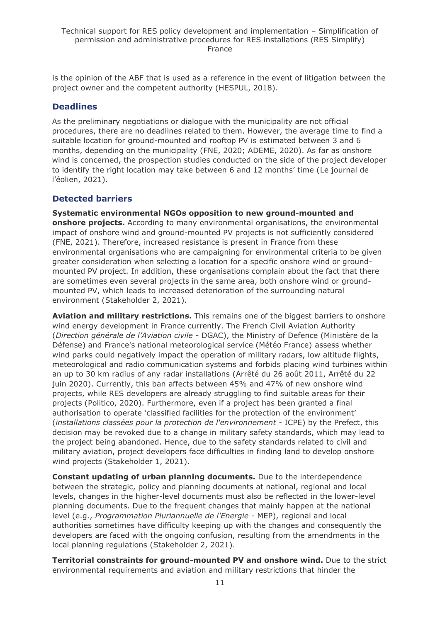is the opinion of the ABF that is used as a reference in the event of litigation between the project owner and the competent authority (HESPUL, 2018).

### **Deadlines**

As the preliminary negotiations or dialogue with the municipality are not official procedures, there are no deadlines related to them. However, the average time to find a suitable location for ground-mounted and rooftop PV is estimated between 3 and 6 months, depending on the municipality (FNE, 2020; ADEME, 2020). As far as onshore wind is concerned, the prospection studies conducted on the side of the project developer to identify the right location may take between 6 and 12 months' time (Le journal de l'éolien, 2021).

### **Detected barriers**

**Systematic environmental NGOs opposition to new ground-mounted and onshore projects.** According to many environmental organisations, the environmental impact of onshore wind and ground-mounted PV projects is not sufficiently considered (FNE, 2021). Therefore, increased resistance is present in France from these environmental organisations who are campaigning for environmental criteria to be given greater consideration when selecting a location for a specific onshore wind or groundmounted PV project. In addition, these organisations complain about the fact that there are sometimes even several projects in the same area, both onshore wind or groundmounted PV, which leads to increased deterioration of the surrounding natural environment (Stakeholder 2, 2021).

**Aviation and military restrictions.** This remains one of the biggest barriers to onshore wind energy development in France currently. The French Civil Aviation Authority (*Direction générale de l'Aviation civile* - DGAC), the Ministry of Defence (Ministère de la Défense) and France's national meteorological service (Météo France) assess whether wind parks could negatively impact the operation of military radars, low altitude flights, meteorological and radio communication systems and forbids placing wind turbines within an up to 30 km radius of any radar installations (Arrêté du 26 août 2011, Arrêté du 22 juin 2020). Currently, this ban affects between 45% and 47% of new onshore wind projects, while RES developers are already struggling to find suitable areas for their projects (Politico, 2020). Furthermore, even if a project has been granted a final authorisation to operate 'classified facilities for the protection of the environment' (*installations classées pour la protection de l'environnement -* ICPE) by the Prefect, this decision may be revoked due to a change in military safety standards, which may lead to the project being abandoned. Hence, due to the safety standards related to civil and military aviation, project developers face difficulties in finding land to develop onshore wind projects (Stakeholder 1, 2021).

**Constant updating of urban planning documents.** Due to the interdependence between the strategic, policy and planning documents at national, regional and local levels, changes in the higher-level documents must also be reflected in the lower-level planning documents. Due to the frequent changes that mainly happen at the national level (e.g., *Programmation Pluriannuelle de l'Energie* - MEP), regional and local authorities sometimes have difficulty keeping up with the changes and consequently the developers are faced with the ongoing confusion, resulting from the amendments in the local planning regulations (Stakeholder 2, 2021).

**Territorial constraints for ground-mounted PV and onshore wind.** Due to the strict environmental requirements and aviation and military restrictions that hinder the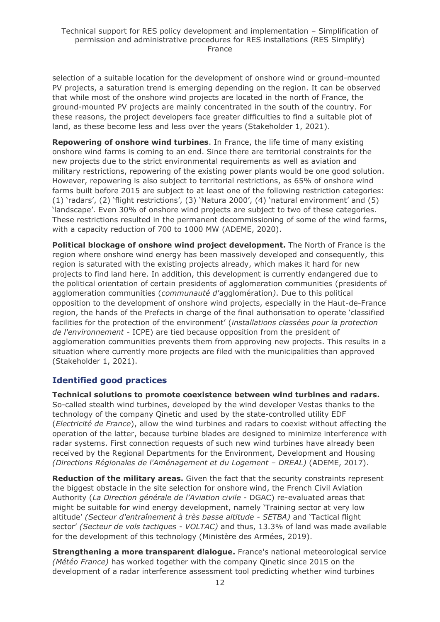selection of a suitable location for the development of onshore wind or ground-mounted PV projects, a saturation trend is emerging depending on the region. It can be observed that while most of the onshore wind projects are located in the north of France, the ground-mounted PV projects are mainly concentrated in the south of the country. For these reasons, the project developers face greater difficulties to find a suitable plot of land, as these become less and less over the years (Stakeholder 1, 2021).

**Repowering of onshore wind turbines**. In France, the life time of many existing onshore wind farms is coming to an end. Since there are territorial constraints for the new projects due to the strict environmental requirements as well as aviation and military restrictions, repowering of the existing power plants would be one good solution. However, repowering is also subject to territorial restrictions, as 65% of onshore wind farms built before 2015 are subject to at least one of the following restriction categories: (1) 'radars', (2) 'flight restrictions', (3) 'Natura 2000', (4) 'natural environment' and (5) 'landscape'. Even 30% of onshore wind projects are subject to two of these categories. These restrictions resulted in the permanent decommissioning of some of the wind farms, with a capacity reduction of 700 to 1000 MW (ADEME, 2020).

**Political blockage of onshore wind project development.** The North of France is the region where onshore wind energy has been massively developed and consequently, this region is saturated with the existing projects already, which makes it hard for new projects to find land here. In addition, this development is currently endangered due to the political orientation of certain presidents of agglomeration communities (presidents of agglomeration communities (*communauté d'*agglomération*)*. Due to this political opposition to the development of onshore wind projects, especially in the Haut-de-France region, the hands of the Prefects in charge of the final authorisation to operate 'classified facilities for the protection of the environment' (*installations classées pour la protection de l'environnement -* ICPE) are tied because opposition from the president of agglomeration communities prevents them from approving new projects. This results in a situation where currently more projects are filed with the municipalities than approved (Stakeholder 1, 2021).

### **Identified good practices**

**Technical solutions to promote coexistence between wind turbines and radars.** So-called stealth wind turbines, developed by the wind developer Vestas thanks to the technology of the company Qinetic and used by the state-controlled utility EDF (*Electricité de France*), allow the wind turbines and radars to coexist without affecting the operation of the latter, because turbine blades are designed to minimize interference with radar systems. First connection requests of such new wind turbines have already been received by the Regional Departments for the Environment, Development and Housing *(Directions Régionales de l'Aménagement et du Logement – DREAL)* (ADEME, 2017).

**Reduction of the military areas.** Given the fact that the security constraints represent the biggest obstacle in the site selection for onshore wind, the French Civil Aviation Authority (*La Direction générale de l'Aviation civile* - DGAC) re-evaluated areas that might be suitable for wind energy development, namely 'Training sector at very low altitude' *(Secteur d'entraînement à très basse altitude - SETBA)* and 'Tactical flight sector' *(Secteur de vols tactiques - VOLTAC)* and thus, 13.3% of land was made available for the development of this technology (Ministère des Armées, 2019).

**Strengthening a more transparent dialogue.** France's national meteorological service *(Météo France)* has worked together with the company Qinetic since 2015 on the development of a radar interference assessment tool predicting whether wind turbines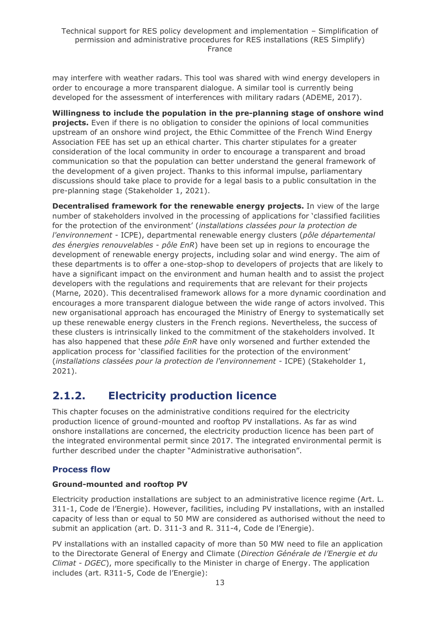may interfere with weather radars. This tool was shared with wind energy developers in order to encourage a more transparent dialogue. A similar tool is currently being developed for the assessment of interferences with military radars (ADEME, 2017).

**Willingness to include the population in the pre-planning stage of onshore wind projects.** Even if there is no obligation to consider the opinions of local communities upstream of an onshore wind project, the Ethic Committee of the French Wind Energy Association FEE has set up an ethical charter. This charter stipulates for a greater consideration of the local community in order to encourage a transparent and broad communication so that the population can better understand the general framework of the development of a given project. Thanks to this informal impulse, parliamentary discussions should take place to provide for a legal basis to a public consultation in the pre-planning stage (Stakeholder 1, 2021).

**Decentralised framework for the renewable energy projects.** In view of the large number of stakeholders involved in the processing of applications for 'classified facilities for the protection of the environment' (*installations classées pour la protection de l'environnement -* ICPE), departmental renewable energy clusters (*pôle départemental des énergies renouvelables* - *pôle EnR*) have been set up in regions to encourage the development of renewable energy projects, including solar and wind energy. The aim of these departments is to offer a one-stop-shop to developers of projects that are likely to have a significant impact on the environment and human health and to assist the project developers with the regulations and requirements that are relevant for their projects (Marne, 2020). This decentralised framework allows for a more dynamic coordination and encourages a more transparent dialogue between the wide range of actors involved. This new organisational approach has encouraged the Ministry of Energy to systematically set up these renewable energy clusters in the French regions. Nevertheless, the success of these clusters is intrinsically linked to the commitment of the stakeholders involved. It has also happened that these *pôle EnR* have only worsened and further extended the application process for 'classified facilities for the protection of the environment' (*installations classées pour la protection de l'environnement -* ICPE) (Stakeholder 1, 2021).

# <span id="page-12-0"></span>**2.1.2. Electricity production licence**

This chapter focuses on the administrative conditions required for the electricity production licence of ground-mounted and rooftop PV installations. As far as wind onshore installations are concerned, the electricity production licence has been part of the integrated environmental permit since 2017. The integrated environmental permit is further described under the chapter "Administrative authorisation".

# **Process flow**

### **Ground-mounted and rooftop PV**

Electricity production installations are subject to an administrative licence regime (Art. L. 311-1, Code de l'Energie). However, facilities, including PV installations, with an installed capacity of less than or equal to 50 MW are considered as authorised without the need to submit an application (art. D. 311-3 and R. 311-4, Code de l'Energie).

PV installations with an installed capacity of more than 50 MW need to file an application to the Directorate General of Energy and Climate (*Direction Générale de l'Energie et du Climat - DGEC*), more specifically to the Minister in charge of Energy. The application includes (art. R311-5, Code de l'Energie):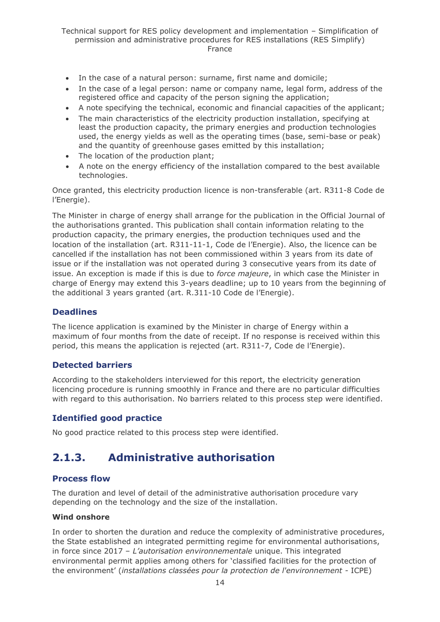- In the case of a natural person: surname, first name and domicile;
- In the case of a legal person: name or company name, legal form, address of the registered office and capacity of the person signing the application;
- A note specifying the technical, economic and financial capacities of the applicant;
- The main characteristics of the electricity production installation, specifying at least the production capacity, the primary energies and production technologies used, the energy yields as well as the operating times (base, semi-base or peak) and the quantity of greenhouse gases emitted by this installation;
- The location of the production plant;
- A note on the energy efficiency of the installation compared to the best available technologies.

Once granted, this electricity production licence is non-transferable (art. R311-8 Code de l'Energie).

The Minister in charge of energy shall arrange for the publication in the Official Journal of the authorisations granted. This publication shall contain information relating to the production capacity, the primary energies, the production techniques used and the location of the installation (art. R311-11-1, Code de l'Energie). Also, the licence can be cancelled if the installation has not been commissioned within 3 years from its date of issue or if the installation was not operated during 3 consecutive years from its date of issue. An exception is made if this is due to *force majeure*, in which case the Minister in charge of Energy may extend this 3-years deadline; up to 10 years from the beginning of the additional 3 years granted (art. R.311-10 Code de l'Energie).

#### **Deadlines**

The licence application is examined by the Minister in charge of Energy within a maximum of four months from the date of receipt. If no response is received within this period, this means the application is rejected (art. R311-7, Code de l'Energie).

#### **Detected barriers**

According to the stakeholders interviewed for this report, the electricity generation licencing procedure is running smoothly in France and there are no particular difficulties with regard to this authorisation. No barriers related to this process step were identified.

### **Identified good practice**

No good practice related to this process step were identified.

# <span id="page-13-0"></span>**2.1.3. Administrative authorisation**

#### **Process flow**

The duration and level of detail of the administrative authorisation procedure vary depending on the technology and the size of the installation.

#### **Wind onshore**

In order to shorten the duration and reduce the complexity of administrative procedures, the State established an integrated permitting regime for environmental authorisations, in force since 2017 – *L'autorisation environnementale* unique. This integrated environmental permit applies among others for 'classified facilities for the protection of the environment' (*installations classées pour la protection de l'environnement -* ICPE)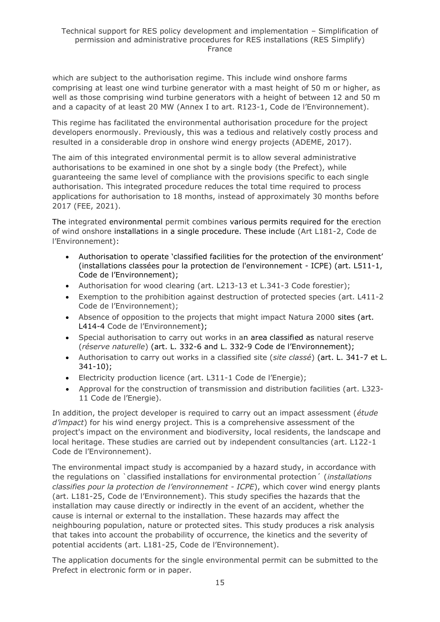which are subject to the authorisation regime. This include wind onshore farms comprising at least one wind turbine generator with a mast height of 50 m or higher, as well as those comprising wind turbine generators with a height of between 12 and 50 m and a capacity of at least 20 MW (Annex I to art. R123-1, Code de l'Environnement).

This regime has facilitated the environmental authorisation procedure for the project developers enormously. Previously, this was a tedious and relatively costly process and resulted in a considerable drop in onshore wind energy projects (ADEME, 2017).

The aim of this integrated environmental permit is to allow several administrative authorisations to be examined in one shot by a single body (the Prefect), while guaranteeing the same level of compliance with the provisions specific to each single authorisation. This integrated procedure reduces the total time required to process applications for authorisation to 18 months, instead of approximately 30 months before 2017 (FEE, 2021).

The integrated environmental permit combines various permits required for the erection of wind onshore installations in a single procedure. These include (Art L181-2, Code de l'Environnement):

- Authorisation to operate 'classified facilities for the protection of the environment' (installations classées pour la protection de l'environnement - ICPE) (art. L511-1, Code de l'Environnement);
- Authorisation for wood clearing (art. L213-13 et L.341-3 Code forestier);
- Exemption to the prohibition against destruction of protected species (art. L411-2 Code de l'Environnement);
- Absence of opposition to the projects that might impact Natura 2000 sites (art. L414-4 Code de l'Environnement);
- Special authorisation to carry out works in an area classified as natural reserve (*réserve naturelle*) (art. L. 332-6 and L. 332-9 Code de l'Environnement);
- Authorisation to carry out works in a classified site (*site classé*) (art. L. 341-7 et L. 341-10);
- Electricity production licence (art. L311-1 Code de l'Energie);
- Approval for the construction of transmission and distribution facilities (art. L323- 11 Code de l'Energie).

In addition, the project developer is required to carry out an impact assessment (*étude d'impact*) for his wind energy project. This is a comprehensive assessment of the project's impact on the environment and biodiversity, local residents, the landscape and local heritage. These studies are carried out by independent consultancies (art. L122-1 Code de l'Environnement).

The environmental impact study is accompanied by a hazard study, in accordance with the regulations on `classified installations for environmental protection´ (*installations classifies pour la protection de l'environnement - ICPE*), which cover wind energy plants (art. L181-25, Code de l'Environnement). This study specifies the hazards that the installation may cause directly or indirectly in the event of an accident, whether the cause is internal or external to the installation. These hazards may affect the neighbouring population, nature or protected sites. This study produces a risk analysis that takes into account the probability of occurrence, the kinetics and the severity of potential accidents (art. L181-25, Code de l'Environnement).

The application documents for the single environmental permit can be submitted to the Prefect in electronic form or in paper.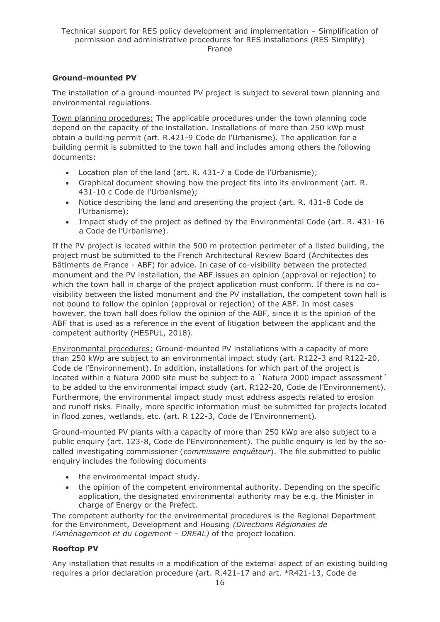### **Ground-mounted PV**

The installation of a ground-mounted PV project is subject to several town planning and environmental regulations.

Town planning procedures: The applicable procedures under the town planning code depend on the capacity of the installation. Installations of more than 250 kWp must obtain a building permit (art. R.421-9 Code de l'Urbanisme). The application for a building permit is submitted to the town hall and includes among others the following documents:

- Location plan of the land (art. R. 431-7 a Code de l'Urbanisme);
- Graphical document showing how the project fits into its environment (art. R. 431-10 c Code de l'Urbanisme);
- Notice describing the land and presenting the project (art. R. 431-8 Code de l'Urbanisme);
- Impact study of the project as defined by the Environmental Code (art. R. 431-16 a Code de l'Urbanisme).

If the PV project is located within the 500 m protection perimeter of a listed building, the project must be submitted to the French Architectural Review Board (Architectes des Bâtiments de France - ABF) for advice. In case of co-visibility between the protected monument and the PV installation, the ABF issues an opinion (approval or rejection) to which the town hall in charge of the project application must conform. If there is no covisibility between the listed monument and the PV installation, the competent town hall is not bound to follow the opinion (approval or rejection) of the ABF. In most cases however, the town hall does follow the opinion of the ABF, since it is the opinion of the ABF that is used as a reference in the event of litigation between the applicant and the competent authority (HESPUL, 2018).

Environmental procedures: Ground-mounted PV installations with a capacity of more than 250 kWp are subject to an environmental impact study (art. R122-3 and R122-20, Code de l'Environnement). In addition, installations for which part of the project is located within a Natura 2000 site must be subject to a `Natura 2000 impact assessment´ to be added to the environmental impact study (art. R122-20, Code de l'Environnement). Furthermore, the environmental impact study must address aspects related to erosion and runoff risks. Finally, more specific information must be submitted for projects located in flood zones, wetlands, etc. (art. R 122-3, Code de l'Environnement).

Ground-mounted PV plants with a capacity of more than 250 kWp are also subject to a public enquiry (art. 123-8, Code de l'Environnement). The public enquiry is led by the socalled investigating commissioner (*commissaire enquêteur*). The file submitted to public enquiry includes the following documents

- the environmental impact study.
- the opinion of the competent environmental authority. Depending on the specific application, the designated environmental authority may be e.g. the Minister in charge of Energy or the Prefect.

The competent authority for the environmental procedures is the Regional Department for the Environment, Development and Housing *(Directions Régionales de l'Aménagement et du Logement – DREAL)* of the project location.

#### **Rooftop PV**

Any installation that results in a modification of the external aspect of an existing building requires a prior declaration procedure (art. R.421-17 and art. \*R421-13, Code de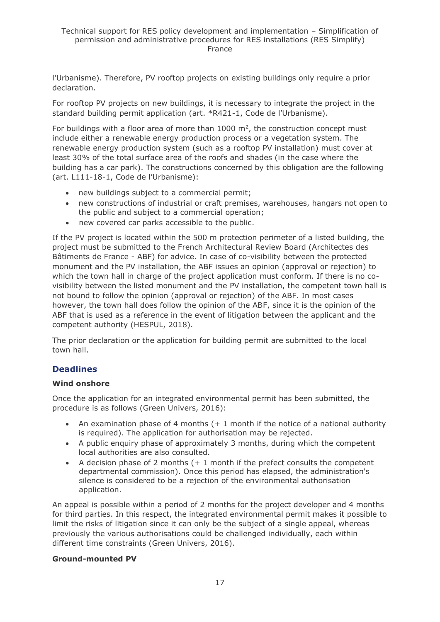l'Urbanisme). Therefore, PV rooftop projects on existing buildings only require a prior declaration.

For rooftop PV projects on new buildings, it is necessary to integrate the project in the standard building permit application (art. \*R421-1, Code de l'Urbanisme).

For buildings with a floor area of more than  $1000 \text{ m}^2$ , the construction concept must include either a renewable energy production process or a vegetation system. The renewable energy production system (such as a rooftop PV installation) must cover at least 30% of the total surface area of the roofs and shades (in the case where the building has a car park). The constructions concerned by this obligation are the following (art. L111-18-1, Code de l'Urbanisme):

- new buildings subject to a commercial permit;
- new constructions of industrial or craft premises, warehouses, hangars not open to the public and subject to a commercial operation;
- new covered car parks accessible to the public.

If the PV project is located within the 500 m protection perimeter of a listed building, the project must be submitted to the French Architectural Review Board (Architectes des Bâtiments de France - ABF) for advice. In case of co-visibility between the protected monument and the PV installation, the ABF issues an opinion (approval or rejection) to which the town hall in charge of the project application must conform. If there is no covisibility between the listed monument and the PV installation, the competent town hall is not bound to follow the opinion (approval or rejection) of the ABF. In most cases however, the town hall does follow the opinion of the ABF, since it is the opinion of the ABF that is used as a reference in the event of litigation between the applicant and the competent authority (HESPUL, 2018).

The prior declaration or the application for building permit are submitted to the local town hall.

# **Deadlines**

#### **Wind onshore**

Once the application for an integrated environmental permit has been submitted, the procedure is as follows (Green Univers, 2016):

- An examination phase of 4 months (+ 1 month if the notice of a national authority is required). The application for authorisation may be rejected.
- A public enquiry phase of approximately 3 months, during which the competent local authorities are also consulted.
- A decision phase of 2 months  $(+)$  month if the prefect consults the competent departmental commission). Once this period has elapsed, the administration's silence is considered to be a rejection of the environmental authorisation application.

An appeal is possible within a period of 2 months for the project developer and 4 months for third parties. In this respect, the integrated environmental permit makes it possible to limit the risks of litigation since it can only be the subject of a single appeal, whereas previously the various authorisations could be challenged individually, each within different time constraints (Green Univers, 2016).

#### **Ground-mounted PV**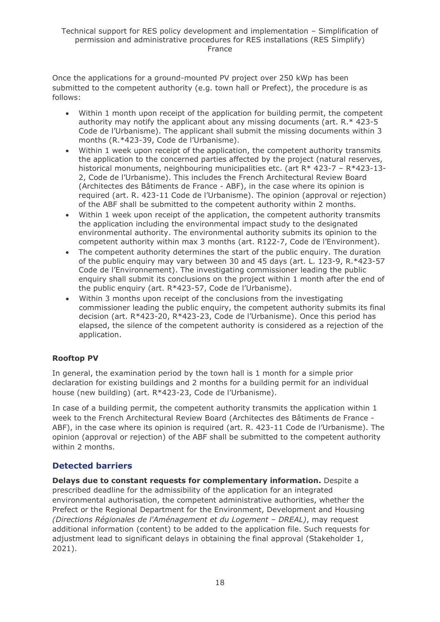Once the applications for a ground-mounted PV project over 250 kWp has been submitted to the competent authority (e.g. town hall or Prefect), the procedure is as follows:

- Within 1 month upon receipt of the application for building permit, the competent authority may notify the applicant about any missing documents (art. R.\* 423-5 Code de l'Urbanisme). The applicant shall submit the missing documents within 3 months (R.\*423-39, Code de l'Urbanisme).
- Within 1 week upon receipt of the application, the competent authority transmits the application to the concerned parties affected by the project (natural reserves, historical monuments, neighbouring municipalities etc. (art R\* 423-7 – R\*423-13- 2, Code de l'Urbanisme). This includes the French Architectural Review Board (Architectes des Bâtiments de France - ABF), in the case where its opinion is required (art. R. 423-11 Code de l'Urbanisme). The opinion (approval or rejection) of the ABF shall be submitted to the competent authority within 2 months.
- Within 1 week upon receipt of the application, the competent authority transmits the application including the environmental impact study to the designated environmental authority. The environmental authority submits its opinion to the competent authority within max 3 months (art. R122-7, Code de l'Environment).
- The competent authority determines the start of the public enquiry. The duration of the public enquiry may vary between 30 and 45 days (art. L. 123-9, R.\*423-57 Code de l'Environnement). The investigating commissioner leading the public enquiry shall submit its conclusions on the project within 1 month after the end of the public enquiry (art. R\*423-57, Code de l'Urbanisme).
- Within 3 months upon receipt of the conclusions from the investigating commissioner leading the public enquiry, the competent authority submits its final decision (art. R\*423-20, R\*423-23, Code de l'Urbanisme). Once this period has elapsed, the silence of the competent authority is considered as a rejection of the application.

### **Rooftop PV**

In general, the examination period by the town hall is 1 month for a simple prior declaration for existing buildings and 2 months for a building permit for an individual house (new building) (art. R\*423-23, Code de l'Urbanisme).

In case of a building permit, the competent authority transmits the application within 1 week to the French Architectural Review Board (Architectes des Bâtiments de France - ABF), in the case where its opinion is required (art. R. 423-11 Code de l'Urbanisme). The opinion (approval or rejection) of the ABF shall be submitted to the competent authority within 2 months.

# **Detected barriers**

**Delays due to constant requests for complementary information.** Despite a prescribed deadline for the admissibility of the application for an integrated environmental authorisation, the competent administrative authorities, whether the Prefect or the Regional Department for the Environment, Development and Housing *(Directions Régionales de l'Aménagement et du Logement - DREAL)*, may request additional information (content) to be added to the application file. Such requests for adjustment lead to significant delays in obtaining the final approval (Stakeholder  $1$ , 2021).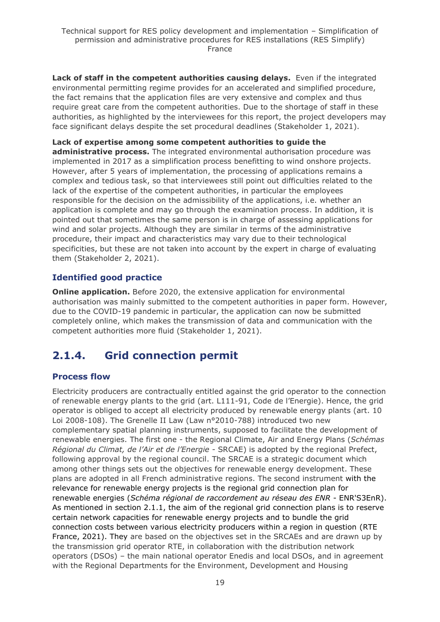**Lack of staff in the competent authorities causing delays.** Even if the integrated environmental permitting regime provides for an accelerated and simplified procedure, the fact remains that the application files are very extensive and complex and thus require great care from the competent authorities. Due to the shortage of staff in these authorities, as highlighted by the interviewees for this report, the project developers may face significant delays despite the set procedural deadlines (Stakeholder 1, 2021).

**Lack of expertise among some competent authorities to guide the administrative process.** The integrated environmental authorisation procedure was implemented in 2017 as a simplification process benefitting to wind onshore projects. However, after 5 years of implementation, the processing of applications remains a complex and tedious task, so that interviewees still point out difficulties related to the lack of the expertise of the competent authorities, in particular the employees responsible for the decision on the admissibility of the applications, i.e. whether an application is complete and may go through the examination process. In addition, it is pointed out that sometimes the same person is in charge of assessing applications for wind and solar projects. Although they are similar in terms of the administrative procedure, their impact and characteristics may vary due to their technological specificities, but these are not taken into account by the expert in charge of evaluating them (Stakeholder 2, 2021).

# **Identified good practice**

**Online application.** Before 2020, the extensive application for environmental authorisation was mainly submitted to the competent authorities in paper form. However, due to the COVID-19 pandemic in particular, the application can now be submitted completely online, which makes the transmission of data and communication with the competent authorities more fluid (Stakeholder 1, 2021).

# <span id="page-18-0"></span>**2.1.4. Grid connection permit**

### **Process flow**

Electricity producers are contractually entitled against the grid operator to the connection of renewable energy plants to the grid (art. L111-91, Code de l'Energie). Hence, the grid operator is obliged to accept all electricity produced by renewable energy plants (art. 10 Loi 2008-108). The Grenelle II Law (Law n°2010-788) introduced two new complementary spatial planning instruments, supposed to facilitate the development of renewable energies. The first one - the Regional Climate, Air and Energy Plans (*Schémas Régional du Climat, de l'Air et de l'Energie* - SRCAE) is adopted by the regional Prefect, following approval by the regional council. The SRCAE is a strategic document which among other things sets out the objectives for renewable energy development. These plans are adopted in all French administrative regions. The second instrument with the relevance for renewable energy projects is the regional grid connection plan for renewable energies (*Schéma régional de raccordement au réseau des ENR* - ENR'S3EnR). As mentioned in section 2.1.1, the aim of the regional grid connection plans is to reserve certain network capacities for renewable energy projects and to bundle the grid connection costs between various electricity producers within a region in question (RTE France, 2021). They are based on the objectives set in the SRCAEs and are drawn up by the transmission grid operator RTE, in collaboration with the distribution network operators (DSOs) – the main national operator Enedis and local DSOs, and in agreement with the Regional Departments for the Environment, Development and Housing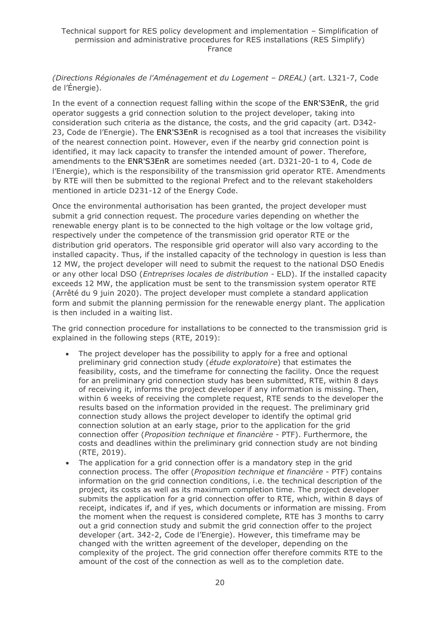*(Directions Régionales de l'Aménagement et du Logement – DREAL)* (art. L321-7, Code de l'Énergie).

In the event of a connection request falling within the scope of the ENR'S3EnR, the grid operator suggests a grid connection solution to the project developer, taking into consideration such criteria as the distance, the costs, and the grid capacity (art. D342- 23, Code de l'Energie). The ENR'S3EnR is recognised as a tool that increases the visibility of the nearest connection point. However, even if the nearby grid connection point is identified, it may lack capacity to transfer the intended amount of power. Therefore, amendments to the ENR'S3EnR are sometimes needed (art. D321-20-1 to 4, Code de l'Energie), which is the responsibility of the transmission grid operator RTE. Amendments by RTE will then be submitted to the regional Prefect and to the relevant stakeholders mentioned in article D231-12 of the Energy Code.

Once the environmental authorisation has been granted, the project developer must submit a grid connection request. The procedure varies depending on whether the renewable energy plant is to be connected to the high voltage or the low voltage grid, respectively under the competence of the transmission grid operator RTE or the distribution grid operators. The responsible grid operator will also vary according to the installed capacity. Thus, if the installed capacity of the technology in question is less than 12 MW, the project developer will need to submit the request to the national DSO Enedis or any other local DSO (*Entreprises locales de distribution* - ELD). If the installed capacity exceeds 12 MW, the application must be sent to the transmission system operator RTE (Arrêté du 9 juin 2020). The project developer must complete a standard application form and submit the planning permission for the renewable energy plant. The application is then included in a waiting list.

The grid connection procedure for installations to be connected to the transmission grid is explained in the following steps (RTE, 2019):

- The project developer has the possibility to apply for a free and optional preliminary grid connection study (*étude exploratoire*) that estimates the feasibility, costs, and the timeframe for connecting the facility. Once the request for an preliminary grid connection study has been submitted, RTE, within 8 days of receiving it, informs the project developer if any information is missing. Then, within 6 weeks of receiving the complete request, RTE sends to the developer the results based on the information provided in the request. The preliminary grid connection study allows the project developer to identify the optimal grid connection solution at an early stage, prior to the application for the grid connection offer (*Proposition technique et financière* - PTF). Furthermore, the costs and deadlines within the preliminary grid connection study are not binding (RTE, 2019).
- The application for a grid connection offer is a mandatory step in the grid connection process. The offer (*Proposition technique et financière* - PTF) contains information on the grid connection conditions, i.e. the technical description of the project, its costs as well as its maximum completion time. The project developer submits the application for a grid connection offer to RTE, which, within 8 days of receipt, indicates if, and if yes, which documents or information are missing. From the moment when the request is considered complete, RTE has 3 months to carry out a grid connection study and submit the grid connection offer to the project developer (art. 342-2, Code de l'Energie). However, this timeframe may be changed with the written agreement of the developer, depending on the complexity of the project. The grid connection offer therefore commits RTE to the amount of the cost of the connection as well as to the completion date.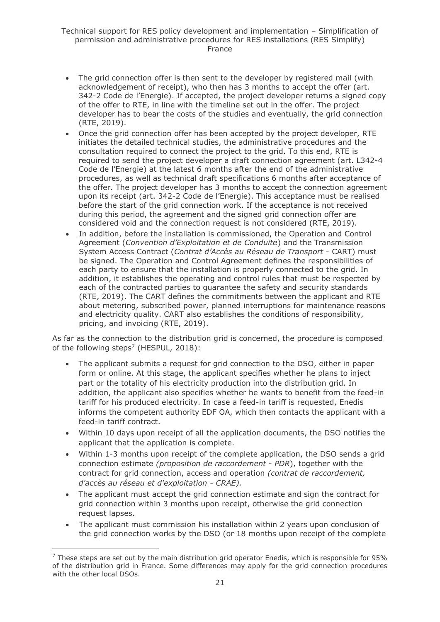- The grid connection offer is then sent to the developer by registered mail (with acknowledgement of receipt), who then has 3 months to accept the offer (art. 342-2 Code de l'Energie). If accepted, the project developer returns a signed copy of the offer to RTE, in line with the timeline set out in the offer. The project developer has to bear the costs of the studies and eventually, the grid connection (RTE, 2019).
- Once the grid connection offer has been accepted by the project developer, RTE initiates the detailed technical studies, the administrative procedures and the consultation required to connect the project to the grid. To this end, RTE is required to send the project developer a draft connection agreement (art. L342-4 Code de l'Energie) at the latest 6 months after the end of the administrative procedures, as well as technical draft specifications 6 months after acceptance of the offer. The project developer has 3 months to accept the connection agreement upon its receipt (art. 342-2 Code de l'Energie). This acceptance must be realised before the start of the grid connection work. If the acceptance is not received during this period, the agreement and the signed grid connection offer are considered void and the connection request is not considered (RTE, 2019).
- In addition, before the installation is commissioned, the Operation and Control Agreement (*Convention d'Exploitation et de Conduite*) and the Transmission System Access Contract (*Contrat d'Accès au Réseau de Transport* - CART) must be signed. The Operation and Control Agreement defines the responsibilities of each party to ensure that the installation is properly connected to the grid. In addition, it establishes the operating and control rules that must be respected by each of the contracted parties to guarantee the safety and security standards (RTE, 2019). The CART defines the commitments between the applicant and RTE about metering, subscribed power, planned interruptions for maintenance reasons and electricity quality. CART also establishes the conditions of responsibility, pricing, and invoicing (RTE, 2019).

As far as the connection to the distribution grid is concerned, the procedure is composed of the following steps<sup>7</sup> (HESPUL, 2018):

- The applicant submits a request for grid connection to the DSO, either in paper form or online. At this stage, the applicant specifies whether he plans to inject part or the totality of his electricity production into the distribution grid. In addition, the applicant also specifies whether he wants to benefit from the feed-in tariff for his produced electricity. In case a feed-in tariff is requested, Enedis informs the competent authority EDF OA, which then contacts the applicant with a feed-in tariff contract.
- Within 10 days upon receipt of all the application documents, the DSO notifies the applicant that the application is complete.
- Within 1-3 months upon receipt of the complete application, the DSO sends a grid connection estimate *(proposition de raccordement - PDR*), together with the contract for grid connection, access and operation *(contrat de raccordement, d'accès au réseau et d'exploitation - CRAE).*
- The applicant must accept the grid connection estimate and sign the contract for grid connection within 3 months upon receipt, otherwise the grid connection request lapses.
- The applicant must commission his installation within 2 years upon conclusion of the grid connection works by the DSO (or 18 months upon receipt of the complete

 $7$  These steps are set out by the main distribution grid operator Enedis, which is responsible for 95% of the distribution grid in France. Some differences may apply for the grid connection procedures with the other local DSOs.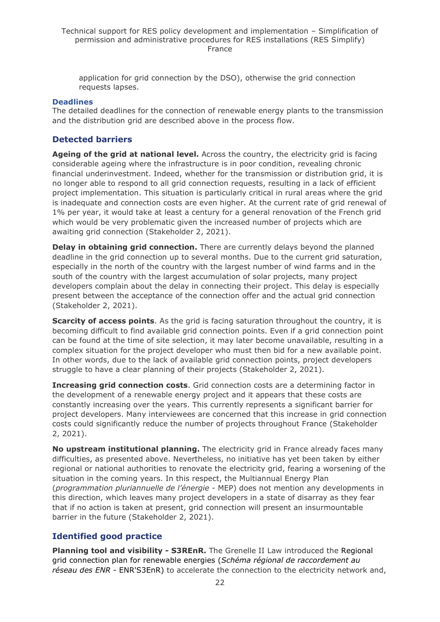application for grid connection by the DSO), otherwise the grid connection requests lapses.

#### **Deadlines**

The detailed deadlines for the connection of renewable energy plants to the transmission and the distribution grid are described above in the process flow.

### **Detected barriers**

**Ageing of the grid at national level.** Across the country, the electricity grid is facing considerable ageing where the infrastructure is in poor condition, revealing chronic financial underinvestment. Indeed, whether for the transmission or distribution grid, it is no longer able to respond to all grid connection requests, resulting in a lack of efficient project implementation. This situation is particularly critical in rural areas where the grid is inadequate and connection costs are even higher. At the current rate of grid renewal of 1% per year, it would take at least a century for a general renovation of the French grid which would be very problematic given the increased number of projects which are awaiting grid connection (Stakeholder 2, 2021).

**Delay in obtaining grid connection.** There are currently delays beyond the planned deadline in the grid connection up to several months. Due to the current grid saturation, especially in the north of the country with the largest number of wind farms and in the south of the country with the largest accumulation of solar projects, many project developers complain about the delay in connecting their project. This delay is especially present between the acceptance of the connection offer and the actual grid connection (Stakeholder 2, 2021).

**Scarcity of access points**. As the grid is facing saturation throughout the country, it is becoming difficult to find available grid connection points. Even if a grid connection point can be found at the time of site selection, it may later become unavailable, resulting in a complex situation for the project developer who must then bid for a new available point. In other words, due to the lack of available grid connection points, project developers struggle to have a clear planning of their projects (Stakeholder 2, 2021).

**Increasing grid connection costs**. Grid connection costs are a determining factor in the development of a renewable energy project and it appears that these costs are constantly increasing over the years. This currently represents a significant barrier for project developers. Many interviewees are concerned that this increase in grid connection costs could significantly reduce the number of projects throughout France (Stakeholder 2, 2021).

**No upstream institutional planning.** The electricity grid in France already faces many difficulties, as presented above. Nevertheless, no initiative has yet been taken by either regional or national authorities to renovate the electricity grid, fearing a worsening of the situation in the coming years. In this respect, the Multiannual Energy Plan (*programmation pluriannuelle de l'énergie -* MEP) does not mention any developments in this direction, which leaves many project developers in a state of disarray as they fear that if no action is taken at present, grid connection will present an insurmountable barrier in the future (Stakeholder 2, 2021).

### **Identified good practice**

**Planning tool and visibility - S3REnR.** The Grenelle II Law introduced the Regional grid connection plan for renewable energies (*Schéma régional de raccordement au réseau des ENR* - ENR'S3EnR) to accelerate the connection to the electricity network and,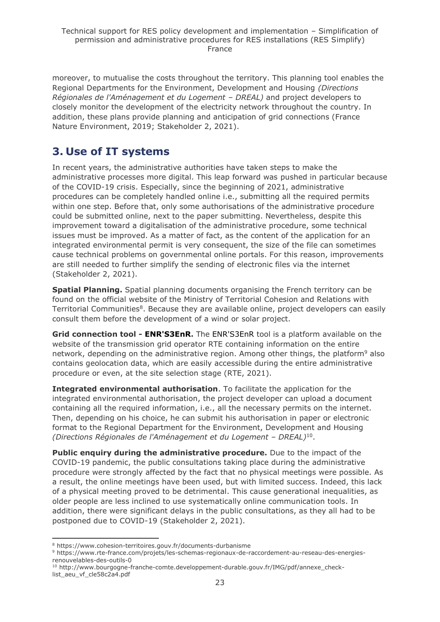moreover, to mutualise the costs throughout the territory. This planning tool enables the Regional Departments for the Environment, Development and Housing *(Directions Régionales de l'Aménagement et du Logement – DREAL)* and project developers to closely monitor the development of the electricity network throughout the country. In addition, these plans provide planning and anticipation of grid connections (France Nature Environment, 2019; Stakeholder 2, 2021).

# <span id="page-22-0"></span>**3. Use of IT systems**

In recent years, the administrative authorities have taken steps to make the administrative processes more digital. This leap forward was pushed in particular because of the COVID-19 crisis. Especially, since the beginning of 2021, administrative procedures can be completely handled online i.e., submitting all the required permits within one step. Before that, only some authorisations of the administrative procedure could be submitted online, next to the paper submitting. Nevertheless, despite this improvement toward a digitalisation of the administrative procedure, some technical issues must be improved. As a matter of fact, as the content of the application for an integrated environmental permit is very consequent, the size of the file can sometimes cause technical problems on governmental online portals. For this reason, improvements are still needed to further simplify the sending of electronic files via the internet (Stakeholder 2, 2021).

**Spatial Planning.** Spatial planning documents organising the French territory can be found on the official website of the Ministry of Territorial Cohesion and Relations with Territorial Communities<sup>8</sup>. Because they are available online, project developers can easily consult them before the development of a wind or solar project.

**Grid connection tool - ENR'S3EnR.** The ENR'S3EnR tool is a platform available on the website of the transmission grid operator RTE containing information on the entire network, depending on the administrative region. Among other things, the platform<sup>9</sup> also contains geolocation data, which are easily accessible during the entire administrative procedure or even, at the site selection stage (RTE, 2021).

**Integrated environmental authorisation**. To facilitate the application for the integrated environmental authorisation, the project developer can upload a document containing all the required information, i.e., all the necessary permits on the internet. Then, depending on his choice, he can submit his authorisation in paper or electronic format to the Regional Department for the Environment, Development and Housing (Directions Régionales de l'Aménagement et du Logement - DREAL)<sup>10</sup>.

**Public enquiry during the administrative procedure.** Due to the impact of the COVID-19 pandemic, the public consultations taking place during the administrative procedure were strongly affected by the fact that no physical meetings were possible. As a result, the online meetings have been used, but with limited success. Indeed, this lack of a physical meeting proved to be detrimental. This cause generational inequalities, as older people are less inclined to use systematically online communication tools. In addition, there were significant delays in the public consultations, as they all had to be postponed due to COVID-19 (Stakeholder 2, 2021).

<sup>8</sup> https://www.cohesion-territoires.gouv.fr/documents-durbanisme

<sup>9</sup> https://www.rte-france.com/projets/les-schemas-regionaux-de-raccordement-au-reseau-des-energiesrenouvelables-des-outils-0

<sup>10</sup> http://www.bourgogne-franche-comte.developpement-durable.gouv.fr/IMG/pdf/annexe\_checklist aeu vf cle58c2a4.pdf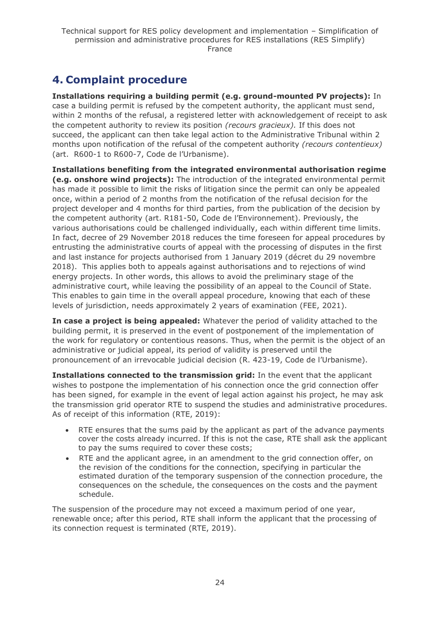# <span id="page-23-0"></span>**4. Complaint procedure**

**Installations requiring a building permit (e.g. ground-mounted PV projects):** In case a building permit is refused by the competent authority, the applicant must send, within 2 months of the refusal, a registered letter with acknowledgement of receipt to ask the competent authority to review its position *(recours gracieux).* If this does not succeed, the applicant can then take legal action to the Administrative Tribunal within 2 months upon notification of the refusal of the competent authority *(recours contentieux)*  (art. R600-1 to R600-7, Code de l'Urbanisme).

**Installations benefiting from the integrated environmental authorisation regime (e.g. onshore wind projects):** The introduction of the integrated environmental permit has made it possible to limit the risks of litigation since the permit can only be appealed once, within a period of 2 months from the notification of the refusal decision for the project developer and 4 months for third parties, from the publication of the decision by the competent authority (art. R181-50, Code de l'Environnement). Previously, the various authorisations could be challenged individually, each within different time limits. In fact, decree of 29 November 2018 reduces the time foreseen for appeal procedures by entrusting the administrative courts of appeal with the processing of disputes in the first and last instance for projects authorised from 1 January 2019 (décret du 29 novembre 2018). This applies both to appeals against authorisations and to rejections of wind energy projects. In other words, this allows to avoid the preliminary stage of the administrative court, while leaving the possibility of an appeal to the Council of State. This enables to gain time in the overall appeal procedure, knowing that each of these levels of jurisdiction, needs approximately 2 years of examination (FEE, 2021).

**In case a project is being appealed:** Whatever the period of validity attached to the building permit, it is preserved in the event of postponement of the implementation of the work for regulatory or contentious reasons. Thus, when the permit is the object of an administrative or judicial appeal, its period of validity is preserved until the pronouncement of an irrevocable judicial decision (R. 423-19, Code de l'Urbanisme).

**Installations connected to the transmission grid:** In the event that the applicant wishes to postpone the implementation of his connection once the grid connection offer has been signed, for example in the event of legal action against his project, he may ask the transmission grid operator RTE to suspend the studies and administrative procedures. As of receipt of this information (RTE, 2019):

- RTE ensures that the sums paid by the applicant as part of the advance payments cover the costs already incurred. If this is not the case, RTE shall ask the applicant to pay the sums required to cover these costs;
- RTE and the applicant agree, in an amendment to the grid connection offer, on the revision of the conditions for the connection, specifying in particular the estimated duration of the temporary suspension of the connection procedure, the consequences on the schedule, the consequences on the costs and the payment schedule.

The suspension of the procedure may not exceed a maximum period of one year, renewable once; after this period, RTE shall inform the applicant that the processing of its connection request is terminated (RTE, 2019).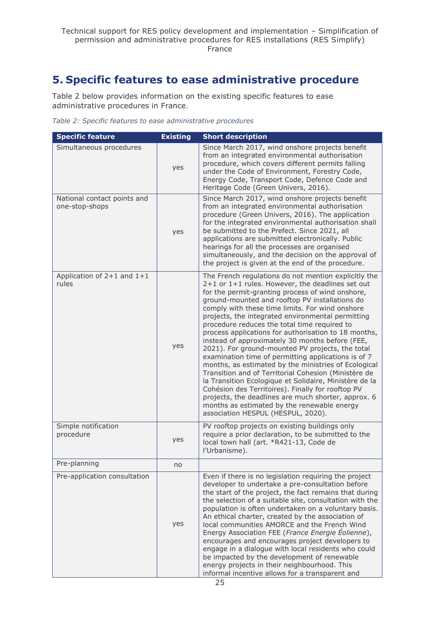# <span id="page-24-0"></span>**5. Specific features to ease administrative procedure**

Table 2 below provides information on the existing specific features to ease administrative procedures in France.

*Table 2: Specific features to ease administrative procedures*

| <b>Specific feature</b>                       | <b>Existing</b> | <b>Short description</b>                                                                                                                                                                                                                                                                                                                                                                                                                                                                                                                                                                                                                                                                                                                                                                                                                                                                                                                                                |
|-----------------------------------------------|-----------------|-------------------------------------------------------------------------------------------------------------------------------------------------------------------------------------------------------------------------------------------------------------------------------------------------------------------------------------------------------------------------------------------------------------------------------------------------------------------------------------------------------------------------------------------------------------------------------------------------------------------------------------------------------------------------------------------------------------------------------------------------------------------------------------------------------------------------------------------------------------------------------------------------------------------------------------------------------------------------|
| Simultaneous procedures                       | yes             | Since March 2017, wind onshore projects benefit<br>from an integrated environmental authorisation<br>procedure, which covers different permits falling<br>under the Code of Environment, Forestry Code,<br>Energy Code, Transport Code, Defence Code and<br>Heritage Code (Green Univers, 2016).                                                                                                                                                                                                                                                                                                                                                                                                                                                                                                                                                                                                                                                                        |
| National contact points and<br>one-stop-shops | yes             | Since March 2017, wind onshore projects benefit<br>from an integrated environmental authorisation<br>procedure (Green Univers, 2016). The application<br>for the integrated environmental authorisation shall<br>be submitted to the Prefect. Since 2021, all<br>applications are submitted electronically. Public<br>hearings for all the processes are organised<br>simultaneously, and the decision on the approval of<br>the project is given at the end of the procedure.                                                                                                                                                                                                                                                                                                                                                                                                                                                                                          |
| Application of $2+1$ and $1+1$<br>rules       | yes             | The French regulations do not mention explicitly the<br>2+1 or 1+1 rules. However, the deadlines set out<br>for the permit-granting process of wind onshore,<br>ground-mounted and rooftop PV installations do<br>comply with these time limits. For wind onshore<br>projects, the integrated environmental permitting<br>procedure reduces the total time required to<br>process applications for authorisation to 18 months,<br>instead of approximately 30 months before (FEE,<br>2021). For ground-mounted PV projects, the total<br>examination time of permitting applications is of 7<br>months, as estimated by the ministries of Ecological<br>Transition and of Territorial Cohesion (Ministère de<br>la Transition Ecologique et Solidaire, Ministère de la<br>Cohésion des Territoires). Finally for rooftop PV<br>projects, the deadlines are much shorter, approx. 6<br>months as estimated by the renewable energy<br>association HESPUL (HESPUL, 2020). |
| Simple notification<br>procedure              | yes             | PV rooftop projects on existing buildings only<br>require a prior declaration, to be submitted to the<br>local town hall (art. *R421-13, Code de<br>l'Urbanisme).                                                                                                                                                                                                                                                                                                                                                                                                                                                                                                                                                                                                                                                                                                                                                                                                       |
| Pre-planning                                  | no              |                                                                                                                                                                                                                                                                                                                                                                                                                                                                                                                                                                                                                                                                                                                                                                                                                                                                                                                                                                         |
| Pre-application consultation                  | yes             | Even if there is no legislation requiring the project<br>developer to undertake a pre-consultation before<br>the start of the project, the fact remains that during<br>the selection of a suitable site, consultation with the<br>population is often undertaken on a voluntary basis.<br>An ethical charter, created by the association of<br>local communities AMORCE and the French Wind<br>Energy Association FEE (France Energie Éolienne),<br>encourages and encourages project developers to<br>engage in a dialogue with local residents who could<br>be impacted by the development of renewable<br>energy projects in their neighbourhood. This<br>informal incentive allows for a transparent and                                                                                                                                                                                                                                                            |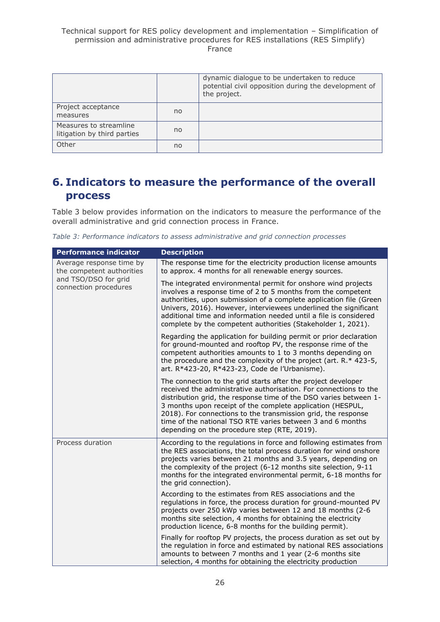|                                                       |    | dynamic dialogue to be undertaken to reduce<br>potential civil opposition during the development of<br>the project. |
|-------------------------------------------------------|----|---------------------------------------------------------------------------------------------------------------------|
| Project acceptance<br>measures                        | no |                                                                                                                     |
| Measures to streamline<br>litigation by third parties | no |                                                                                                                     |
| Other                                                 | no |                                                                                                                     |

# <span id="page-25-0"></span>**6. Indicators to measure the performance of the overall process**

Table 3 below provides information on the indicators to measure the performance of the overall administrative and grid connection process in France.

|  |  | Table 3: Performance indicators to assess administrative and grid connection processes |  |  |
|--|--|----------------------------------------------------------------------------------------|--|--|
|  |  |                                                                                        |  |  |

| <b>Performance indicator</b>                                                                           | <b>Description</b>                                                                                                                                                                                                                                                                                                                                                                                                                                   |
|--------------------------------------------------------------------------------------------------------|------------------------------------------------------------------------------------------------------------------------------------------------------------------------------------------------------------------------------------------------------------------------------------------------------------------------------------------------------------------------------------------------------------------------------------------------------|
| Average response time by<br>the competent authorities<br>and TSO/DSO for grid<br>connection procedures | The response time for the electricity production license amounts<br>to approx. 4 months for all renewable energy sources.                                                                                                                                                                                                                                                                                                                            |
|                                                                                                        | The integrated environmental permit for onshore wind projects<br>involves a response time of 2 to 5 months from the competent<br>authorities, upon submission of a complete application file (Green<br>Univers, 2016). However, interviewees underlined the significant<br>additional time and information needed until a file is considered<br>complete by the competent authorities (Stakeholder 1, 2021).                                         |
|                                                                                                        | Regarding the application for building permit or prior declaration<br>for ground-mounted and rooftop PV, the response rime of the<br>competent authorities amounts to 1 to 3 months depending on<br>the procedure and the complexity of the project (art. $R.*$ 423-5,<br>art. R*423-20, R*423-23, Code de l'Urbanisme).                                                                                                                             |
|                                                                                                        | The connection to the grid starts after the project developer<br>received the administrative authorisation. For connections to the<br>distribution grid, the response time of the DSO varies between 1-<br>3 months upon receipt of the complete application (HESPUL,<br>2018). For connections to the transmission grid, the response<br>time of the national TSO RTE varies between 3 and 6 months<br>depending on the procedure step (RTE, 2019). |
| Process duration                                                                                       | According to the regulations in force and following estimates from<br>the RES associations, the total process duration for wind onshore<br>projects varies between 21 months and 3.5 years, depending on<br>the complexity of the project (6-12 months site selection, 9-11<br>months for the integrated environmental permit, 6-18 months for<br>the grid connection).                                                                              |
|                                                                                                        | According to the estimates from RES associations and the<br>regulations in force, the process duration for ground-mounted PV<br>projects over 250 kWp varies between 12 and 18 months (2-6<br>months site selection, 4 months for obtaining the electricity<br>production licence, 6-8 months for the building permit).                                                                                                                              |
|                                                                                                        | Finally for rooftop PV projects, the process duration as set out by<br>the regulation in force and estimated by national RES associations<br>amounts to between 7 months and 1 year (2-6 months site<br>selection, 4 months for obtaining the electricity production                                                                                                                                                                                 |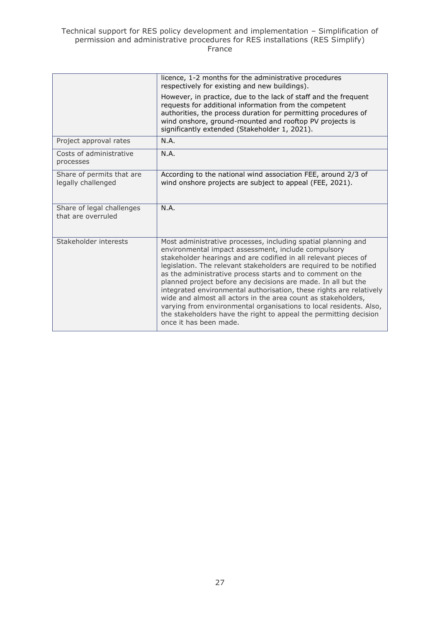|                                                 | licence, 1-2 months for the administrative procedures<br>respectively for existing and new buildings).                                                                                                                                                                                                                                                                                                                                                                                                                                                                                                                                                                                                    |
|-------------------------------------------------|-----------------------------------------------------------------------------------------------------------------------------------------------------------------------------------------------------------------------------------------------------------------------------------------------------------------------------------------------------------------------------------------------------------------------------------------------------------------------------------------------------------------------------------------------------------------------------------------------------------------------------------------------------------------------------------------------------------|
|                                                 | However, in practice, due to the lack of staff and the frequent<br>requests for additional information from the competent<br>authorities, the process duration for permitting procedures of<br>wind onshore, ground-mounted and rooftop PV projects is<br>significantly extended (Stakeholder 1, 2021).                                                                                                                                                                                                                                                                                                                                                                                                   |
| Project approval rates                          | N.A.                                                                                                                                                                                                                                                                                                                                                                                                                                                                                                                                                                                                                                                                                                      |
| Costs of administrative<br>processes            | N.A.                                                                                                                                                                                                                                                                                                                                                                                                                                                                                                                                                                                                                                                                                                      |
| Share of permits that are<br>legally challenged | According to the national wind association FEE, around 2/3 of<br>wind onshore projects are subject to appeal (FEE, 2021).                                                                                                                                                                                                                                                                                                                                                                                                                                                                                                                                                                                 |
| Share of legal challenges<br>that are overruled | N.A.                                                                                                                                                                                                                                                                                                                                                                                                                                                                                                                                                                                                                                                                                                      |
| Stakeholder interests                           | Most administrative processes, including spatial planning and<br>environmental impact assessment, include compulsory<br>stakeholder hearings and are codified in all relevant pieces of<br>legislation. The relevant stakeholders are required to be notified<br>as the administrative process starts and to comment on the<br>planned project before any decisions are made. In all but the<br>integrated environmental authorisation, these rights are relatively<br>wide and almost all actors in the area count as stakeholders,<br>varying from environmental organisations to local residents. Also,<br>the stakeholders have the right to appeal the permitting decision<br>once it has been made. |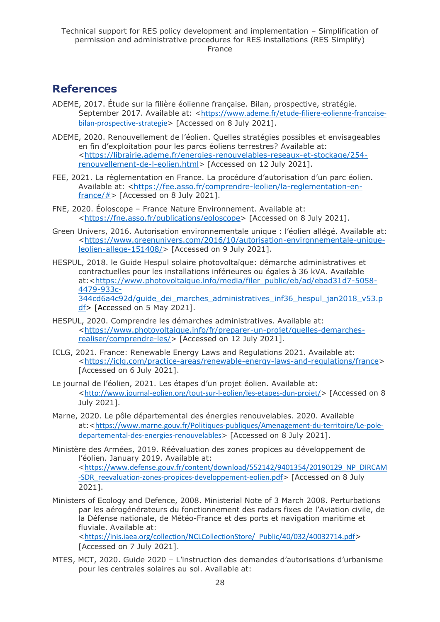# <span id="page-27-0"></span>**References**

- ADEME, 2017. Étude sur la filière éolienne française. Bilan, prospective, stratégie. September 2017. Available at: <[https://www.ademe.fr/etude-filiere-eolienne-francaise](https://www.ademe.fr/etude-filiere-eolienne-francaise-bilan-prospective-strategie)[bilan-prospective-strategie](https://www.ademe.fr/etude-filiere-eolienne-francaise-bilan-prospective-strategie)> [Accessed on 8 July 2021].
- ADEME, 2020. Renouvellement de l'éolien. Quelles stratégies possibles et envisageables en fin d'exploitation pour les parcs éoliens terrestres? Available at: [<https://librairie.ademe.fr/energies-renouvelables-reseaux-et-stockage/254](https://librairie.ademe.fr/energies-renouvelables-reseaux-et-stockage/254-renouvellement-de-l-eolien.html) [renouvellement-de-l-eolien.html>](https://librairie.ademe.fr/energies-renouvelables-reseaux-et-stockage/254-renouvellement-de-l-eolien.html) [Accessed on 12 July 2021].
- FEE, 2021. La règlementation en France. La procédure d'autorisation d'un parc éolien. Available at: [<https://fee.asso.fr/comprendre-leolien/la-reglementation-en](https://fee.asso.fr/comprendre-leolien/la-reglementation-en-france/)france/ $#$ > [Accessed on 8 July 2021].
- FNE, 2020. Éoloscope France Nature Environnement. Available at: [<https://fne.asso.fr/publications/eoloscope>](https://fne.asso.fr/publications/eoloscope) [Accessed on 8 July 2021].
- Green Univers, 2016. Autorisation environnementale unique : l'éolien allégé. Available at: [<https://www.greenunivers.com/2016/10/autorisation-environnementale-unique](https://www.greenunivers.com/2016/10/autorisation-environnementale-unique-leolien-allege-151408/)[leolien-allege-151408/>](https://www.greenunivers.com/2016/10/autorisation-environnementale-unique-leolien-allege-151408/) [Accessed on 9 July 2021].
- HESPUL, 2018. le Guide Hespul solaire photovoltaïque: démarche administratives et contractuelles pour les installations inférieures ou égales à 36 kVA. Available at:[<https://www.photovoltaique.info/media/filer\\_public/eb/ad/ebad31d7-5058-](https://www.photovoltaique.info/media/filer_public/eb/ad/ebad31d7-5058-4479-933c-344cd6a4c92d/guide_dei_marches_administratives_inf36_hespul_jan2018_v53.pdf) [4479-933c-](https://www.photovoltaique.info/media/filer_public/eb/ad/ebad31d7-5058-4479-933c-344cd6a4c92d/guide_dei_marches_administratives_inf36_hespul_jan2018_v53.pdf)344cd6a4c92d/quide\_dei\_marches\_administratives\_inf36\_hespul\_jan2018\_v53.p [df>](https://www.photovoltaique.info/media/filer_public/eb/ad/ebad31d7-5058-4479-933c-344cd6a4c92d/guide_dei_marches_administratives_inf36_hespul_jan2018_v53.pdf) [Accessed on 5 May 2021].
- HESPUL, 2020. Comprendre les démarches administratives. Available at: [<https://www.photovoltaique.info/fr/preparer-un-projet/quelles-demarches](https://www.photovoltaique.info/fr/preparer-un-projet/quelles-demarches-realiser/comprendre-les/)[realiser/comprendre-les/>](https://www.photovoltaique.info/fr/preparer-un-projet/quelles-demarches-realiser/comprendre-les/) [Accessed on 12 July 2021].
- ICLG, 2021. France: Renewable Energy Laws and Regulations 2021. Available at: [<https://iclg.com/practice-areas/renewable-energy-laws-and-regulations/france>](https://iclg.com/practice-areas/renewable-energy-laws-and-regulations/france) [Accessed on 6 July 2021].
- Le journal de l'éolien, 2021. Les étapes d'un projet éolien. Available at: <<http://www.journal-eolien.org/tout-sur-l-eolien/les-etapes-dun-projet/>> [Accessed on 8 July 2021].
- Marne, 2020. Le pôle départemental des énergies renouvelables. 2020. Available at:<[https://www.marne.gouv.fr/Politiques-publiques/Amenagement-du-territoire/Le-pole](https://www.marne.gouv.fr/Politiques-publiques/Amenagement-du-territoire/Le-pole-departemental-des-energies-renouvelables)[departemental-des-energies-renouvelables](https://www.marne.gouv.fr/Politiques-publiques/Amenagement-du-territoire/Le-pole-departemental-des-energies-renouvelables)> [Accessed on 8 July 2021].
- Ministère des Armées, 2019. Réévaluation des zones propices au développement de l'éolien. January 2019. Available at: <[https://www.defense.gouv.fr/content/download/552142/9401354/20190129\\_NP\\_DIRCAM](https://www.defense.gouv.fr/content/download/552142/9401354/20190129_NP_DIRCAM-SDR_reevaluation-zones-propices-developpement-eolien.pdf) [-SDR\\_reevaluation-zones-propices-developpement-eolien.pdf](https://www.defense.gouv.fr/content/download/552142/9401354/20190129_NP_DIRCAM-SDR_reevaluation-zones-propices-developpement-eolien.pdf)> [Accessed on 8 July 2021].
- Ministers of Ecology and Defence, 2008. Ministerial Note of 3 March 2008. Perturbations par les aérogénérateurs du fonctionnement des radars fixes de l'Aviation civile, de la Défense nationale, de Météo-France et des ports et navigation maritime et fluviale. Available at: <[https://inis.iaea.org/collection/NCLCollectionStore/\\_Public/40/032/40032714.pdf](https://inis.iaea.org/collection/NCLCollectionStore/_Public/40/032/40032714.pdf)>
	- [Accessed on 7 July 2021].
- MTES, MCT, 2020. Guide 2020 L'instruction des demandes d'autorisations d'urbanisme pour les centrales solaires au sol. Available at: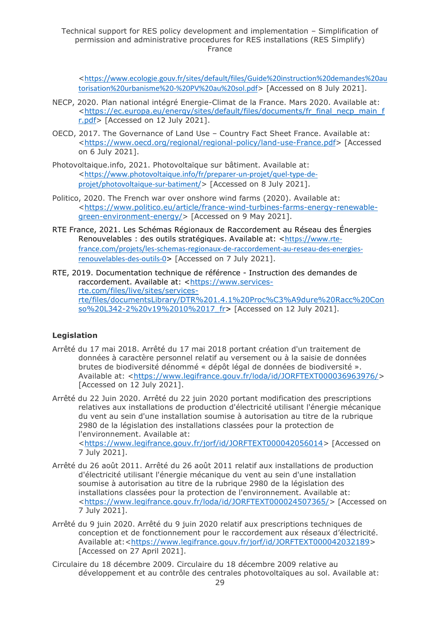<[https://www.ecologie.gouv.fr/sites/default/files/Guide%20instruction%20demandes%20au](https://www.ecologie.gouv.fr/sites/default/files/Guide%20instruction%20demandes%20autorisation%20urbanisme%20-%20PV%20au%20sol.pdf) [torisation%20urbanisme%20-%20PV%20au%20sol.pdf](https://www.ecologie.gouv.fr/sites/default/files/Guide%20instruction%20demandes%20autorisation%20urbanisme%20-%20PV%20au%20sol.pdf)> [Accessed on 8 July 2021].

- NECP, 2020. Plan national intégré Energie-Climat de la France. Mars 2020. Available at: [<https://ec.europa.eu/energy/sites/default/files/documents/fr\\_final\\_necp\\_main\\_f](https://ec.europa.eu/energy/sites/default/files/documents/fr_final_necp_main_fr.pdf) [r.pdf>](https://ec.europa.eu/energy/sites/default/files/documents/fr_final_necp_main_fr.pdf) [Accessed on 12 July 2021].
- OECD, 2017. The Governance of Land Use Country Fact Sheet France. Available at: [<https://www.oecd.org/regional/regional-policy/land-use-France.pdf>](https://www.oecd.org/regional/regional-policy/land-use-France.pdf) [Accessed on 6 July 2021].
- Photovoltaique.info, 2021. Photovoltaïque sur bâtiment. Available at: <[https://www.photovoltaique.info/fr/preparer-un-projet/quel-type-de](https://www.photovoltaique.info/fr/preparer-un-projet/quel-type-de-projet/photovoltaique-sur-batiment/)[projet/photovoltaique-sur-batiment/](https://www.photovoltaique.info/fr/preparer-un-projet/quel-type-de-projet/photovoltaique-sur-batiment/)> [Accessed on 8 July 2021].
- Politico, 2020. The French war over onshore wind farms (2020). Available at: [<https://www.politico.eu/article/france-wind-turbines-farms-energy-renewable](https://www.politico.eu/article/france-wind-turbines-farms-energy-renewable-green-environment-energy/)[green-environment-energy/>](https://www.politico.eu/article/france-wind-turbines-farms-energy-renewable-green-environment-energy/) [Accessed on 9 May 2021].
- RTE France, 2021. Les Schémas Régionaux de Raccordement au Réseau des Énergies Renouvelables : des outils stratégiques. Available at: <[https://www.rte](https://www.rte-france.com/projets/les-schemas-regionaux-de-raccordement-au-reseau-des-energies-renouvelables-des-outils-0)[france.com/projets/les-schemas-regionaux-de-raccordement-au-reseau-des-energies](https://www.rte-france.com/projets/les-schemas-regionaux-de-raccordement-au-reseau-des-energies-renouvelables-des-outils-0)[renouvelables-des-outils-0](https://www.rte-france.com/projets/les-schemas-regionaux-de-raccordement-au-reseau-des-energies-renouvelables-des-outils-0)> [Accessed on 7 July 2021].
- RTE, 2019. Documentation technique de référence Instruction des demandes de raccordement. Available at: [<https://www.services](https://www.services-rte.com/files/live/sites/services-rte/files/documentsLibrary/DTR%201.4.1%20Proc%C3%A9dure%20Racc%20Conso%20L342-2%20v19%2010%2017_fr)[rte.com/files/live/sites/services](https://www.services-rte.com/files/live/sites/services-rte/files/documentsLibrary/DTR%201.4.1%20Proc%C3%A9dure%20Racc%20Conso%20L342-2%20v19%2010%2017_fr)[rte/files/documentsLibrary/DTR%201.4.1%20Proc%C3%A9dure%20Racc%20Con](https://www.services-rte.com/files/live/sites/services-rte/files/documentsLibrary/DTR%201.4.1%20Proc%C3%A9dure%20Racc%20Conso%20L342-2%20v19%2010%2017_fr) [so%20L342-2%20v19%2010%2017\\_fr>](https://www.services-rte.com/files/live/sites/services-rte/files/documentsLibrary/DTR%201.4.1%20Proc%C3%A9dure%20Racc%20Conso%20L342-2%20v19%2010%2017_fr) [Accessed on 12 July 2021].

#### **Legislation**

- Arrêté du 17 mai 2018. Arrêté du 17 mai 2018 portant création d'un traitement de données à caractère personnel relatif au versement ou à la saisie de données brutes de biodiversité dénommé « dépôt légal de données de biodiversité ». Available at: [<https://www.legifrance.gouv.fr/loda/id/JORFTEXT000036963976/>](https://www.legifrance.gouv.fr/loda/id/JORFTEXT000036963976/) [Accessed on 12 July 2021].
- Arrêté du 22 Juin 2020. Arrêté du 22 juin 2020 portant modification des prescriptions relatives aux installations de production d'électricité utilisant l'énergie mécanique du vent au sein d'une installation soumise à autorisation au titre de la rubrique 2980 de la législation des installations classées pour la protection de l'environnement. Available at: [<https://www.legifrance.gouv.fr/jorf/id/JORFTEXT000042056014>](https://www.legifrance.gouv.fr/jorf/id/JORFTEXT000042056014) [Accessed on 7 July 2021].
- Arrêté du 26 août 2011. Arrêté du 26 août 2011 relatif aux installations de production d'électricité utilisant l'énergie mécanique du vent au sein d'une installation soumise à autorisation au titre de la rubrique 2980 de la législation des installations classées pour la protection de l'environnement. Available at: [<https://www.legifrance.gouv.fr/loda/id/JORFTEXT000024507365/>](https://www.legifrance.gouv.fr/loda/id/JORFTEXT000024507365/) [Accessed on 7 July 2021].
- Arrêté du 9 juin 2020. Arrêté du 9 juin 2020 relatif aux prescriptions techniques de conception et de fonctionnement pour le raccordement aux réseaux d'électricité. Available at:[<https://www.legifrance.gouv.fr/jorf/id/JORFTEXT000042032189>](https://www.legifrance.gouv.fr/jorf/id/JORFTEXT000042032189) [Accessed on 27 April 2021].
- Circulaire du 18 décembre 2009. Circulaire du 18 décembre 2009 relative au développement et au contrôle des centrales photovoltaïques au sol. Available at: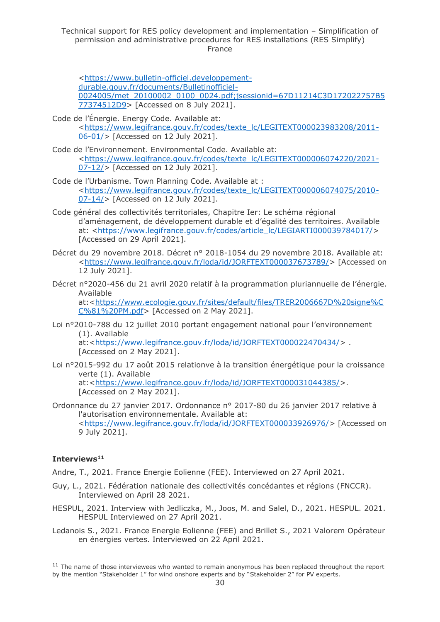[<https://www.bulletin-officiel.developpement](https://www.bulletin-officiel.developpement-durable.gouv.fr/documents/Bulletinofficiel-0024005/met_20100002_0100_0024.pdf;jsessionid=67D11214C3D172022757B577374512D9)[durable.gouv.fr/documents/Bulletinofficiel-](https://www.bulletin-officiel.developpement-durable.gouv.fr/documents/Bulletinofficiel-0024005/met_20100002_0100_0024.pdf;jsessionid=67D11214C3D172022757B577374512D9)[0024005/met\\_20100002\\_0100\\_0024.pdf;jsessionid=67D11214C3D172022757B5](https://www.bulletin-officiel.developpement-durable.gouv.fr/documents/Bulletinofficiel-0024005/met_20100002_0100_0024.pdf;jsessionid=67D11214C3D172022757B577374512D9) [77374512D9>](https://www.bulletin-officiel.developpement-durable.gouv.fr/documents/Bulletinofficiel-0024005/met_20100002_0100_0024.pdf;jsessionid=67D11214C3D172022757B577374512D9) [Accessed on 8 July 2021].

- Code de l'Énergie. Energy Code. Available at: [<https://www.legifrance.gouv.fr/codes/texte\\_lc/LEGITEXT000023983208/2011-](https://www.legifrance.gouv.fr/codes/texte_lc/LEGITEXT000023983208/2011-06-01/) [06-01/>](https://www.legifrance.gouv.fr/codes/texte_lc/LEGITEXT000023983208/2011-06-01/) [Accessed on 12 July 2021].
- Code de l'Environnement. Environmental Code. Available at: [<https://www.legifrance.gouv.fr/codes/texte\\_lc/LEGITEXT000006074220/2021-](https://www.legifrance.gouv.fr/codes/texte_lc/LEGITEXT000006074220/2021-07-12/) [07-12/>](https://www.legifrance.gouv.fr/codes/texte_lc/LEGITEXT000006074220/2021-07-12/) [Accessed on 12 July 2021].
- Code de l'Urbanisme. Town Planning Code. Available at : [<https://www.legifrance.gouv.fr/codes/texte\\_lc/LEGITEXT000006074075/2010-](https://www.legifrance.gouv.fr/codes/texte_lc/LEGITEXT000006074075/2010-07-14/) [07-14/>](https://www.legifrance.gouv.fr/codes/texte_lc/LEGITEXT000006074075/2010-07-14/) [Accessed on 12 July 2021].
- Code général des collectivités territoriales, Chapitre Ier: Le schéma régional d'aménagement, de développement durable et d'égalité des territoires. Available at: [<https://www.legifrance.gouv.fr/codes/article\\_lc/LEGIARTI000039784017/>](https://www.legifrance.gouv.fr/codes/article_lc/LEGIARTI000039784017/) [Accessed on 29 April 2021].
- Décret du 29 novembre 2018. Décret n° 2018-1054 du 29 novembre 2018. Available at: [<https://www.legifrance.gouv.fr/loda/id/JORFTEXT000037673789/>](https://www.legifrance.gouv.fr/loda/id/JORFTEXT000037673789/) [Accessed on 12 July 2021].
- Décret n°2020-456 du 21 avril 2020 relatif à la programmation pluriannuelle de l'énergie. Available

at:[<https://www.ecologie.gouv.fr/sites/default/files/TRER2006667D%20signe%C](https://www.ecologie.gouv.fr/sites/default/files/TRER2006667D%20signe%CC%81%20PM.pdf) [C%81%20PM.pdf>](https://www.ecologie.gouv.fr/sites/default/files/TRER2006667D%20signe%CC%81%20PM.pdf) [Accessed on 2 May 2021].

Loi n°2010-788 du 12 juillet 2010 portant engagement national pour l'environnement (1). Available at:[<https://www.legifrance.gouv.fr/loda/id/JORFTEXT000022470434/>](https://www.legifrance.gouv.fr/loda/id/JORFTEXT000022470434/) .

[Accessed on 2 May 2021].

- Loi n°2015-992 du 17 août 2015 relationve à la transition énergétique pour la croissance verte (1). Available at:[<https://www.legifrance.gouv.fr/loda/id/JORFTEXT000031044385/>](https://www.legifrance.gouv.fr/loda/id/JORFTEXT000031044385/). [Accessed on 2 May 2021].
- Ordonnance du 27 janvier 2017. Ordonnance n° 2017-80 du 26 janvier 2017 relative à l'autorisation environnementale. Available at: [<https://www.legifrance.gouv.fr/loda/id/JORFTEXT000033926976/>](https://www.legifrance.gouv.fr/loda/id/JORFTEXT000033926976/) [Accessed on 9 July 2021].

### **Interviews<sup>11</sup>**

Andre, T., 2021. France Energie Eolienne (FEE). Interviewed on 27 April 2021.

- Guy, L., 2021. Fédération nationale des collectivités concédantes et régions (FNCCR). Interviewed on April 28 2021.
- HESPUL, 2021. Interview with Jedliczka, M., Joos, M. and Salel, D., 2021. HESPUL. 2021. HESPUL Interviewed on 27 April 2021.
- Ledanois S., 2021. France Energie Eolienne (FEE) and Brillet S., 2021 Valorem Opérateur en énergies vertes. Interviewed on 22 April 2021.

<sup>&</sup>lt;sup>11</sup> The name of those interviewees who wanted to remain anonymous has been replaced throughout the report by the mention "Stakeholder 1" for wind onshore experts and by "Stakeholder 2" for PV experts.